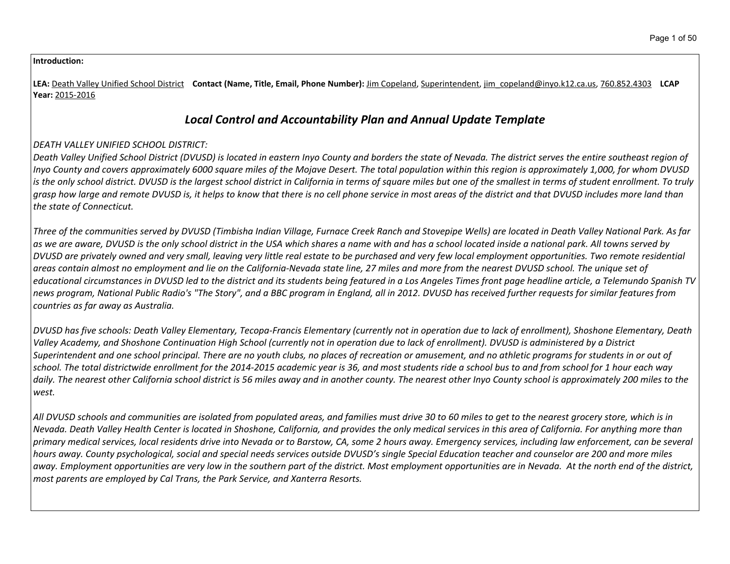#### **Introduction:**

**LEA:** Death Valley Unified School District **Contact (Name, Title, Email, Phone Number):** Jim Copeland, Superintendent, jim\_copeland@inyo.k12.ca.us, 760.852.4303 **LCAP Year:** 2015-2016

# *Local Control and Accountability Plan and Annual Update Template*

# *DEATH VALLEY UNIFIED SCHOOL DISTRICT:*

Death Valley Unified School District (DVUSD) is located in eastern Inyo County and borders the state of Nevada. The district serves the entire southeast reaion of Inyo County and covers approximately 6000 square miles of the Mojave Desert. The total population within this region is approximately 1,000, for whom DVUSD is the only school district. DVUSD is the largest school district in California in terms of square miles but one of the smallest in terms of student enrollment. To truly grasp how large and remote DVUSD is, it helps to know that there is no cell phone service in most areas of the district and that DVUSD includes more land than *the state of Connecticut.*

Three of the communities served by DVUSD (Timbisha Indian Village, Furnace Creek Ranch and Stovepipe Wells) are located in Death Valley National Park. As far as we are aware, DVUSD is the only school district in the USA which shares a name with and has a school located inside a national park. All towns served by DVUSD are privately owned and very small, leaving very little real estate to be purchased and very few local employment opportunities. Two remote residential areas contain almost no employment and lie on the California-Nevada state line, 27 miles and more from the nearest DVUSD school. The unique set of educational circumstances in DVUSD led to the district and its students being featured in a Los Angeles Times front page headline article, a Telemundo Spanish TV news program, National Public Radio's "The Story", and a BBC program in England, all in 2012. DVUSD has received further requests for similar features from *countries as far away as Australia.*

DVUSD has five schools: Death Valley Elementary, Tecopa-Francis Elementary (currently not in operation due to lack of enrollment), Shoshone Elementary, Death Valley Academy, and Shoshone Continuation High School (currently not in operation due to lack of enrollment). DVUSD is administered by a District Superintendent and one school principal. There are no youth clubs, no places of recreation or amusement, and no athletic programs for students in or out of school. The total districtwide enrollment for the 2014-2015 academic year is 36, and most students ride a school bus to and from school for 1 hour each way daily. The nearest other California school district is 56 miles away and in another county. The nearest other Inyo County school is approximately 200 miles to the *west.*

All DVUSD schools and communities are isolated from populated areas, and families must drive 30 to 60 miles to get to the nearest grocery store, which is in Nevada. Death Valley Health Center is located in Shoshone, California, and provides the only medical services in this area of California. For anything more than primary medical services, local residents drive into Nevada or to Barstow, CA, some 2 hours away. Emergency services, including law enforcement, can be several hours away. County psychological, social and special needs services outside DVUSD's single Special Education teacher and counselor are 200 and more miles away. Employment opportunities are very low in the southern part of the district. Most employment opportunities are in Nevada. At the north end of the district, *most parents are employed by Cal Trans, the Park Service, and Xanterra Resorts.*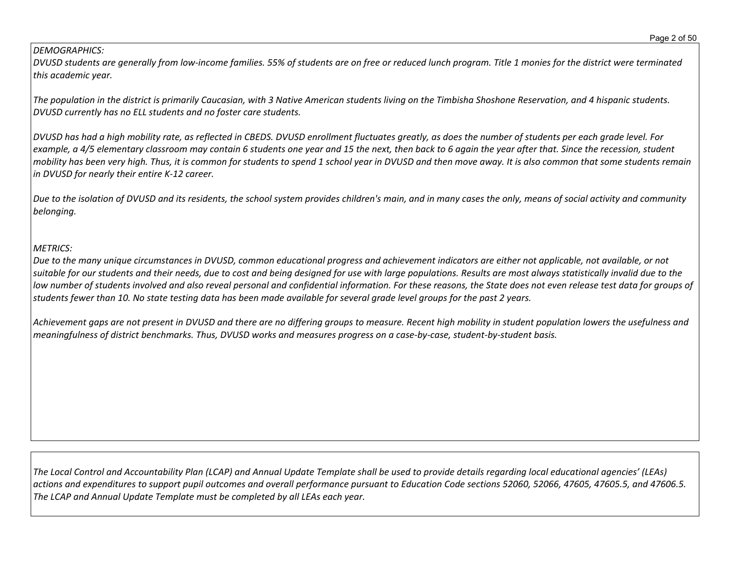## *DEMOGRAPHICS:*

DVUSD students are generally from low-income families. 55% of students are on free or reduced lunch program. Title 1 monies for the district were terminated *this academic year.*

The population in the district is primarily Caucasian, with 3 Native American students living on the Timbisha Shoshone Reservation, and 4 hispanic students. *DVUSD currently has no ELL students and no foster care students.*

DVUSD has had a high mobility rate, as reflected in CBEDS. DVUSD enrollment fluctuates greatly, as does the number of students per each grade level. For example, a 4/5 elementary classroom may contain 6 students one year and 15 the next, then back to 6 again the year after that. Since the recession, student mobility has been very high. Thus, it is common for students to spend 1 school year in DVUSD and then move away. It is also common that some students remain *in DVUSD for nearly their entire K-12 career.*

Due to the isolation of DVUSD and its residents, the school system provides children's main, and in many cases the only, means of social activity and community *belonging.*

# *METRICS:*

Due to the many unique circumstances in DVUSD, common educational progress and achievement indicators are either not applicable, not available, or not suitable for our students and their needs, due to cost and being designed for use with large populations. Results are most always statistically invalid due to the low number of students involved and also reveal personal and confidential information. For these reasons, the State does not even release test data for groups of students fewer than 10. No state testing data has been made available for several grade level groups for the past 2 years.

Achievement gaps are not present in DVUSD and there are no differing groups to measure. Recent high mobility in student population lowers the usefulness and meaningfulness of district benchmarks. Thus, DVUSD works and measures progress on a case-by-case, student-by-student basis.

The Local Control and Accountability Plan (LCAP) and Annual Update Template shall be used to provide details regarding local educational agencies' (LEAs) actions and expenditures to support pupil outcomes and overall performance pursuant to Education Code sections 52060, 52066, 47605, 47605.5, and 47606.5. *The LCAP and Annual Update Template must be completed by all LEAs each year.*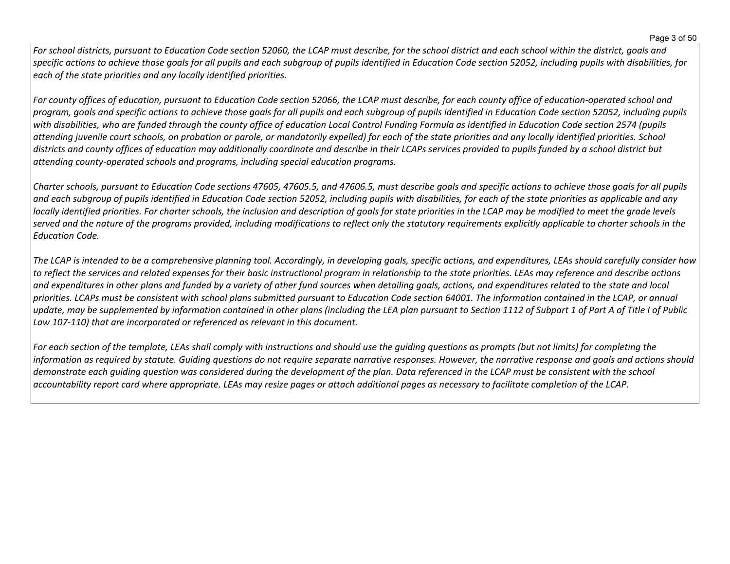For school districts, pursuant to Education Code section 52060, the LCAP must describe, for the school district and each school within the district, goals and specific actions to achieve those goals for all pupils and each subgroup of pupils identified in Education Code section 52052, including pupils with disabilities, for *each of the state priorities and any locally identified priorities.*

For county offices of education, pursuant to Education Code section 52066, the LCAP must describe, for each county office of education-operated school and program, goals and specific actions to achieve those goals for all pupils and each subgroup of pupils identified in Education Code section 52052, including pupils with disabilities, who are funded through the county office of education Local Control Funding Formula as identified in Education Code section 2574 (pupils attending juvenile court schools, on probation or parole, or mandatorily expelled) for each of the state priorities and any locally identified priorities. School districts and county offices of education may additionally coordinate and describe in their LCAPs services provided to pupils funded by a school district but *attending county-operated schools and programs, including special education programs.*

Charter schools, pursuant to Education Code sections 47605, 47605.5, and 47606.5, must describe goals and specific actions to achieve those goals for all pupils and each subgroup of pupils identified in Education Code section 52052, including pupils with disabilities, for each of the state priorities as applicable and any locally identified priorities. For charter schools, the inclusion and description of goals for state priorities in the LCAP may be modified to meet the grade levels served and the nature of the programs provided, including modifications to reflect only the statutory requirements explicitly applicable to charter schools in the *Education Code.*

The LCAP is intended to be a comprehensive planning tool. Accordingly, in developing goals, specific actions, and expenditures, LEAs should carefully consider how to reflect the services and related expenses for their basic instructional program in relationship to the state priorities. LEAs may reference and describe actions and expenditures in other plans and funded by a variety of other fund sources when detailing goals, actions, and expenditures related to the state and local priorities. LCAPs must be consistent with school plans submitted pursuant to Education Code section 64001. The information contained in the LCAP, or annual update, may be supplemented by information contained in other plans (including the LEA plan pursuant to Section 1112 of Subpart 1 of Part A of Title I of Public *Law 107-110) that are incorporated or referenced as relevant in this document.* 

For each section of the template, LEAs shall comply with instructions and should use the quiding questions as prompts (but not limits) for completing the information as required by statute. Guiding questions do not require separate narrative responses. However, the narrative response and goals and actions should demonstrate each quiding question was considered during the development of the plan. Data referenced in the LCAP must be consistent with the school accountability report card where appropriate. LEAs may resize pages or attach additional pages as necessary to facilitate completion of the LCAP.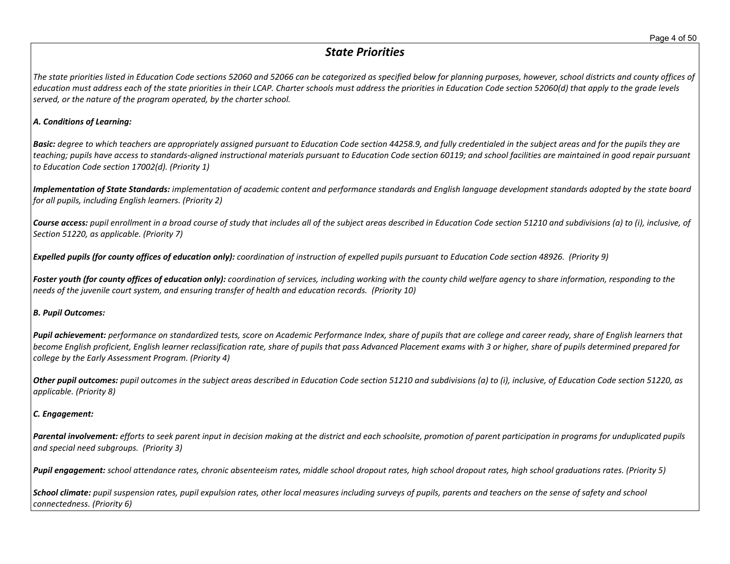# *State Priorities*

The state priorities listed in Education Code sections 52060 and 52066 can be categorized as specified below for planning purposes, however, school districts and county offices of education must address each of the state priorities in their LCAP. Charter schools must address the priorities in Education Code section 52060(d) that apply to the grade levels *served, or the nature of the program operated, by the charter school.*

#### *A. Conditions of Learning:*

**Basic:** degree to which teachers are appropriately assigned pursuant to Education Code section 44258.9, and fully credentialed in the subject areas and for the pupils they are teaching; pupils have access to standards-aligned instructional materials pursuant to Education Code section 60119; and school facilities are maintained in good repair pursuant *to Education Code section 17002(d). (Priority 1)*

Implementation of State Standards: implementation of academic content and performance standards and English language development standards adopted by the state board *for all pupils, including English learners. (Priority 2)*

Course access: pupil enrollment in a broad course of study that includes all of the subject areas described in Education Code section 51210 and subdivisions (a) to (i), inclusive, of *Section 51220, as applicable. (Priority 7)*

Expelled pupils (for county offices of education only): coordination of instruction of expelled pupils pursuant to Education Code section 48926. (Priority 9)

Foster youth (for county offices of education only): coordination of services, including working with the county child welfare agency to share information, responding to the *needs of the juvenile court system, and ensuring transfer of health and education records. (Priority 10)*

#### *B. Pupil Outcomes:*

Pupil achievement: performance on standardized tests, score on Academic Performance Index, share of pupils that are college and career ready, share of English learners that become English proficient, English learner reclassification rate, share of pupils that pass Advanced Placement exams with 3 or higher, share of pupils determined prepared for *college by the Early Assessment Program. (Priority 4)*

Other pupil outcomes: pupil outcomes in the subject areas described in Education Code section 51210 and subdivisions (a) to (i), inclusive, of Education Code section 51220, as *applicable. (Priority 8)* 

#### *C. Engagement:*

Parental involvement: efforts to seek parent input in decision making at the district and each schoolsite, promotion of parent participation in programs for unduplicated pupils *and special need subgroups. (Priority 3)*

Pupil engagement: school attendance rates, chronic absenteeism rates, middle school dropout rates, high school dropout rates, high school graduations rates. (Priority 5)

School climate: pupil suspension rates, pupil expulsion rates, other local measures including surveys of pupils, parents and teachers on the sense of safety and school *connectedness. (Priority 6)*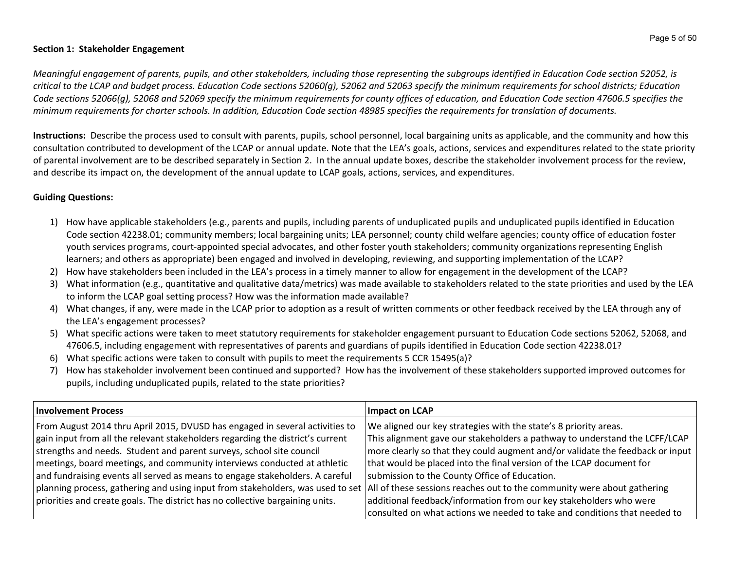#### **Section 1: Stakeholder Engagement**

Meaningful engagement of parents, pupils, and other stakeholders, including those representing the subgroups identified in Education Code section 52052, is critical to the LCAP and budget process. Education Code sections 52060(g), 52062 and 52063 specify the minimum requirements for school districts; Education Code sections 52066(g), 52068 and 52069 specify the minimum requirements for county offices of education, and Education Code section 47606.5 specifies the minimum requirements for charter schools. In addition, Education Code section 48985 specifies the requirements for translation of documents.

**Instructions:** Describe the process used to consult with parents, pupils, school personnel, local bargaining units as applicable, and the community and how this consultation contributed to development of the LCAP or annual update. Note that the LEA's goals, actions, services and expenditures related to the state priority of parental involvement are to be described separately in Section 2. In the annual update boxes, describe the stakeholder involvement process for the review, and describe its impact on, the development of the annual update to LCAP goals, actions, services, and expenditures.

## **Guiding Questions:**

- 1) How have applicable stakeholders (e.g., parents and pupils, including parents of unduplicated pupils and unduplicated pupils identified in Education Code section 42238.01; community members; local bargaining units; LEA personnel; county child welfare agencies; county office of education foster youth services programs, court-appointed special advocates, and other foster youth stakeholders; community organizations representing English learners; and others as appropriate) been engaged and involved in developing, reviewing, and supporting implementation of the LCAP?
- 2) How have stakeholders been included in the LEA's process in a timely manner to allow for engagement in the development of the LCAP?
- 3) What information (e.g., quantitative and qualitative data/metrics) was made available to stakeholders related to the state priorities and used by the LEA to inform the LCAP goal setting process? How was the information made available?
- 4) What changes, if any, were made in the LCAP prior to adoption as a result of written comments or other feedback received by the LEA through any of the LEA's engagement processes?
- 5) What specific actions were taken to meet statutory requirements for stakeholder engagement pursuant to Education Code sections 52062, 52068, and 47606.5, including engagement with representatives of parents and guardians of pupils identified in Education Code section 42238.01?
- 6) What specific actions were taken to consult with pupils to meet the requirements 5 CCR 15495(a)?
- 7) How has stakeholder involvement been continued and supported? How has the involvement of these stakeholders supported improved outcomes for pupils, including unduplicated pupils, related to the state priorities?

| <b>Involvement Process</b>                                                                                                                                   | Impact on LCAP                                                                |
|--------------------------------------------------------------------------------------------------------------------------------------------------------------|-------------------------------------------------------------------------------|
| From August 2014 thru April 2015, DVUSD has engaged in several activities to                                                                                 | We aligned our key strategies with the state's 8 priority areas.              |
| $\vert$ gain input from all the relevant stakeholders regarding the district's current                                                                       | This alignment gave our stakeholders a pathway to understand the LCFF/LCAP    |
| strengths and needs. Student and parent surveys, school site council                                                                                         | more clearly so that they could augment and/or validate the feedback or input |
| meetings, board meetings, and community interviews conducted at athletic                                                                                     | that would be placed into the final version of the LCAP document for          |
| and fundraising events all served as means to engage stakeholders. A careful                                                                                 | submission to the County Office of Education.                                 |
| $ $ planning process, gathering and using input from stakeholders, was used to set   All of these sessions reaches out to the community were about gathering |                                                                               |
| priorities and create goals. The district has no collective bargaining units.                                                                                | additional feedback/information from our key stakeholders who were            |
|                                                                                                                                                              | consulted on what actions we needed to take and conditions that needed to     |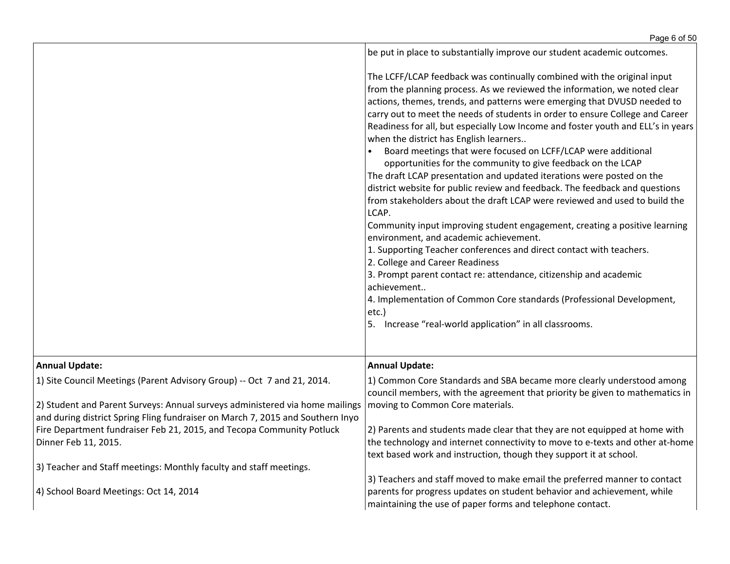|                                                                                                                                                                                 | be put in place to substantially improve our student academic outcomes.                                                                                                                                                                                                                                                                                                                                                                                                                                                                                                                                                                                                                                                                                                                                                                                                                                                                                                                                                                                                                                                                                                                                                                                                                            |
|---------------------------------------------------------------------------------------------------------------------------------------------------------------------------------|----------------------------------------------------------------------------------------------------------------------------------------------------------------------------------------------------------------------------------------------------------------------------------------------------------------------------------------------------------------------------------------------------------------------------------------------------------------------------------------------------------------------------------------------------------------------------------------------------------------------------------------------------------------------------------------------------------------------------------------------------------------------------------------------------------------------------------------------------------------------------------------------------------------------------------------------------------------------------------------------------------------------------------------------------------------------------------------------------------------------------------------------------------------------------------------------------------------------------------------------------------------------------------------------------|
|                                                                                                                                                                                 | The LCFF/LCAP feedback was continually combined with the original input<br>from the planning process. As we reviewed the information, we noted clear<br>actions, themes, trends, and patterns were emerging that DVUSD needed to<br>carry out to meet the needs of students in order to ensure College and Career<br>Readiness for all, but especially Low Income and foster youth and ELL's in years<br>when the district has English learners<br>Board meetings that were focused on LCFF/LCAP were additional<br>opportunities for the community to give feedback on the LCAP<br>The draft LCAP presentation and updated iterations were posted on the<br>district website for public review and feedback. The feedback and questions<br>from stakeholders about the draft LCAP were reviewed and used to build the<br>LCAP.<br>Community input improving student engagement, creating a positive learning<br>environment, and academic achievement.<br>1. Supporting Teacher conferences and direct contact with teachers.<br>2. College and Career Readiness<br>3. Prompt parent contact re: attendance, citizenship and academic<br>achievement<br>4. Implementation of Common Core standards (Professional Development,<br>etc.)<br>5. Increase "real-world application" in all classrooms. |
| <b>Annual Update:</b>                                                                                                                                                           | <b>Annual Update:</b>                                                                                                                                                                                                                                                                                                                                                                                                                                                                                                                                                                                                                                                                                                                                                                                                                                                                                                                                                                                                                                                                                                                                                                                                                                                                              |
| 1) Site Council Meetings (Parent Advisory Group) -- Oct 7 and 21, 2014.<br>2) Student and Parent Surveys: Annual surveys administered via home mailings                         | 1) Common Core Standards and SBA became more clearly understood among<br>council members, with the agreement that priority be given to mathematics in<br>moving to Common Core materials.                                                                                                                                                                                                                                                                                                                                                                                                                                                                                                                                                                                                                                                                                                                                                                                                                                                                                                                                                                                                                                                                                                          |
| and during district Spring Fling fundraiser on March 7, 2015 and Southern Inyo<br>Fire Department fundraiser Feb 21, 2015, and Tecopa Community Potluck<br>Dinner Feb 11, 2015. | 2) Parents and students made clear that they are not equipped at home with<br>the technology and internet connectivity to move to e-texts and other at-home<br>text based work and instruction, though they support it at school.                                                                                                                                                                                                                                                                                                                                                                                                                                                                                                                                                                                                                                                                                                                                                                                                                                                                                                                                                                                                                                                                  |
| 3) Teacher and Staff meetings: Monthly faculty and staff meetings.                                                                                                              | 3) Teachers and staff moved to make email the preferred manner to contact                                                                                                                                                                                                                                                                                                                                                                                                                                                                                                                                                                                                                                                                                                                                                                                                                                                                                                                                                                                                                                                                                                                                                                                                                          |
| 4) School Board Meetings: Oct 14, 2014                                                                                                                                          | parents for progress updates on student behavior and achievement, while<br>maintaining the use of paper forms and telephone contact.                                                                                                                                                                                                                                                                                                                                                                                                                                                                                                                                                                                                                                                                                                                                                                                                                                                                                                                                                                                                                                                                                                                                                               |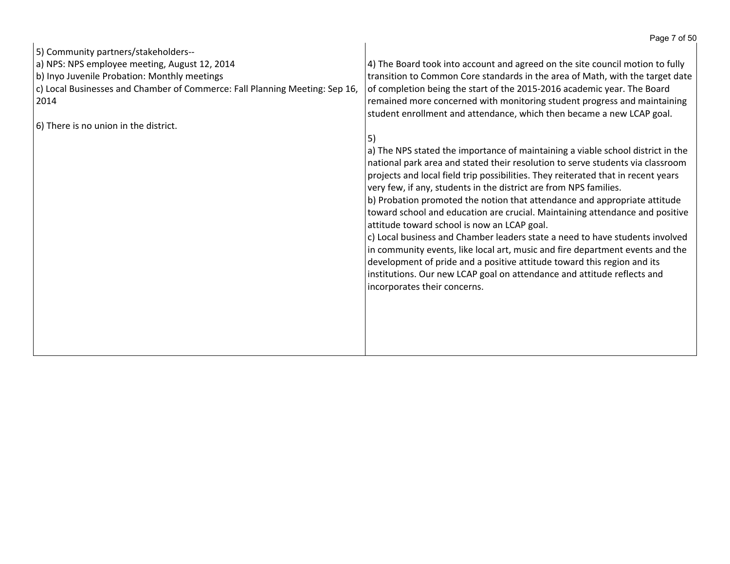|                                                                             | Page 7 of 50                                                                      |
|-----------------------------------------------------------------------------|-----------------------------------------------------------------------------------|
| 5) Community partners/stakeholders--                                        |                                                                                   |
| a) NPS: NPS employee meeting, August 12, 2014                               | 4) The Board took into account and agreed on the site council motion to fully     |
| b) Inyo Juvenile Probation: Monthly meetings                                | transition to Common Core standards in the area of Math, with the target date     |
| c) Local Businesses and Chamber of Commerce: Fall Planning Meeting: Sep 16, | of completion being the start of the 2015-2016 academic year. The Board           |
| 2014                                                                        | remained more concerned with monitoring student progress and maintaining          |
|                                                                             | student enrollment and attendance, which then became a new LCAP goal.             |
| 6) There is no union in the district.                                       |                                                                                   |
|                                                                             | 5)                                                                                |
|                                                                             | a) The NPS stated the importance of maintaining a viable school district in the   |
|                                                                             | national park area and stated their resolution to serve students via classroom    |
|                                                                             | projects and local field trip possibilities. They reiterated that in recent years |
|                                                                             | very few, if any, students in the district are from NPS families.                 |
|                                                                             | b) Probation promoted the notion that attendance and appropriate attitude         |
|                                                                             | toward school and education are crucial. Maintaining attendance and positive      |
|                                                                             | attitude toward school is now an LCAP goal.                                       |
|                                                                             | c) Local business and Chamber leaders state a need to have students involved      |
|                                                                             | in community events, like local art, music and fire department events and the     |
|                                                                             | development of pride and a positive attitude toward this region and its           |
|                                                                             |                                                                                   |
|                                                                             | institutions. Our new LCAP goal on attendance and attitude reflects and           |
|                                                                             | incorporates their concerns.                                                      |
|                                                                             |                                                                                   |
|                                                                             |                                                                                   |
|                                                                             |                                                                                   |
|                                                                             |                                                                                   |
|                                                                             |                                                                                   |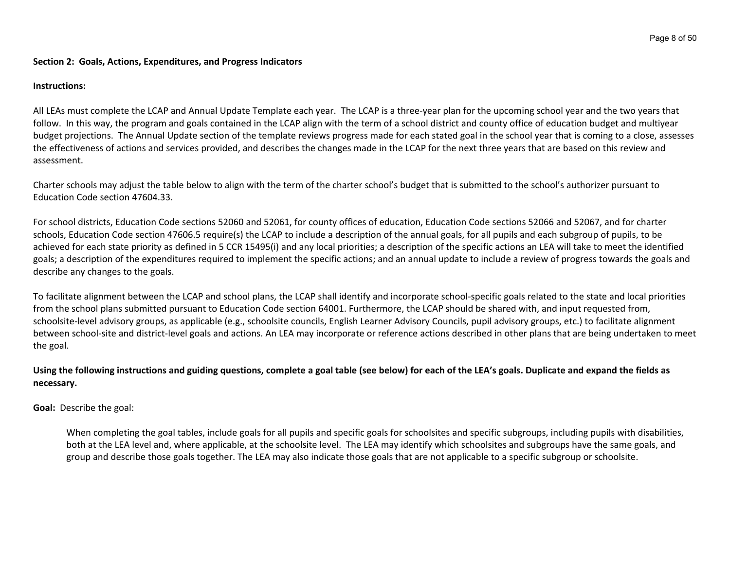#### **Section 2: Goals, Actions, Expenditures, and Progress Indicators**

#### **Instructions:**

All LEAs must complete the LCAP and Annual Update Template each year. The LCAP is a three-year plan for the upcoming school year and the two years that follow. In this way, the program and goals contained in the LCAP align with the term of a school district and county office of education budget and multiyear budget projections. The Annual Update section of the template reviews progress made for each stated goal in the school year that is coming to a close, assesses the effectiveness of actions and services provided, and describes the changes made in the LCAP for the next three years that are based on this review and assessment.

Charter schools may adjust the table below to align with the term of the charter school's budget that is submitted to the school's authorizer pursuant to Education Code section 47604.33.

For school districts, Education Code sections 52060 and 52061, for county offices of education, Education Code sections 52066 and 52067, and for charter schools, Education Code section 47606.5 require(s) the LCAP to include a description of the annual goals, for all pupils and each subgroup of pupils, to be achieved for each state priority as defined in 5 CCR 15495(i) and any local priorities; a description of the specific actions an LEA will take to meet the identified goals; a description of the expenditures required to implement the specific actions; and an annual update to include a review of progress towards the goals and describe any changes to the goals.

To facilitate alignment between the LCAP and school plans, the LCAP shall identify and incorporate school-specific goals related to the state and local priorities from the school plans submitted pursuant to Education Code section 64001. Furthermore, the LCAP should be shared with, and input requested from, schoolsite-level advisory groups, as applicable (e.g., schoolsite councils, English Learner Advisory Councils, pupil advisory groups, etc.) to facilitate alignment between school-site and district-level goals and actions. An LEA may incorporate or reference actions described in other plans that are being undertaken to meet the goal.

## Using the following instructions and guiding questions, complete a goal table (see below) for each of the LEA's goals. Duplicate and expand the fields as **necessary.**

**Goal:** Describe the goal:

When completing the goal tables, include goals for all pupils and specific goals for schoolsites and specific subgroups, including pupils with disabilities, both at the LEA level and, where applicable, at the schoolsite level. The LEA may identify which schoolsites and subgroups have the same goals, and group and describe those goals together. The LEA may also indicate those goals that are not applicable to a specific subgroup or schoolsite.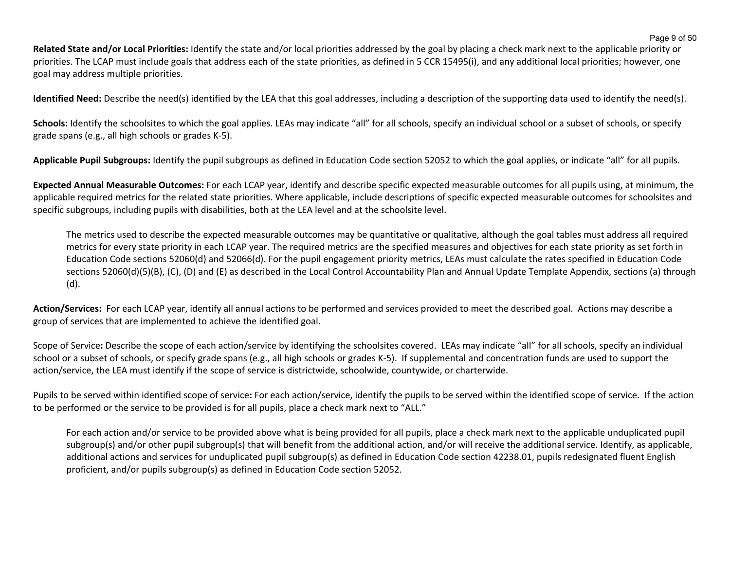**Related State and/or Local Priorities:** Identify the state and/or local priorities addressed by the goal by placing a check mark next to the applicable priority or priorities. The LCAP must include goals that address each of the state priorities, as defined in 5 CCR 15495(i), and any additional local priorities; however, one goal may address multiple priorities.

**Identified Need:** Describe the need(s) identified by the LEA that this goal addresses, including a description of the supporting data used to identify the need(s).

Schools: Identify the schoolsites to which the goal applies. LEAs may indicate "all" for all schools, specify an individual school or a subset of schools, or specify grade spans (e.g., all high schools or grades K-5).

**Applicable Pupil Subgroups:** Identify the pupil subgroups as defined in Education Code section 52052 to which the goal applies, or indicate "all" for all pupils.

**Expected Annual Measurable Outcomes:** For each LCAP year, identify and describe specific expected measurable outcomes for all pupils using, at minimum, the applicable required metrics for the related state priorities. Where applicable, include descriptions of specific expected measurable outcomes for schoolsites and specific subgroups, including pupils with disabilities, both at the LEA level and at the schoolsite level.

The metrics used to describe the expected measurable outcomes may be quantitative or qualitative, although the goal tables must address all required metrics for every state priority in each LCAP year. The required metrics are the specified measures and objectives for each state priority as set forth in Education Code sections 52060(d) and 52066(d). For the pupil engagement priority metrics, LEAs must calculate the rates specified in Education Code sections 52060(d)(5)(B), (C), (D) and (E) as described in the Local Control Accountability Plan and Annual Update Template Appendix, sections (a) through (d).

**Action/Services:** For each LCAP year, identify all annual actions to be performed and services provided to meet the described goal. Actions may describe a group of services that are implemented to achieve the identified goal.

Scope of Service**:** Describe the scope of each action/service by identifying the schoolsites covered. LEAs may indicate "all" for all schools, specify an individual school or a subset of schools, or specify grade spans (e.g., all high schools or grades K-5). If supplemental and concentration funds are used to support the action/service, the LEA must identify if the scope of service is districtwide, schoolwide, countywide, or charterwide.

Pupils to be served within identified scope of service**:** For each action/service, identify the pupils to be served within the identified scope of service. If the action to be performed or the service to be provided is for all pupils, place a check mark next to "ALL."

For each action and/or service to be provided above what is being provided for all pupils, place a check mark next to the applicable unduplicated pupil subgroup(s) and/or other pupil subgroup(s) that will benefit from the additional action, and/or will receive the additional service. Identify, as applicable, additional actions and services for unduplicated pupil subgroup(s) as defined in Education Code section 42238.01, pupils redesignated fluent English proficient, and/or pupils subgroup(s) as defined in Education Code section 52052.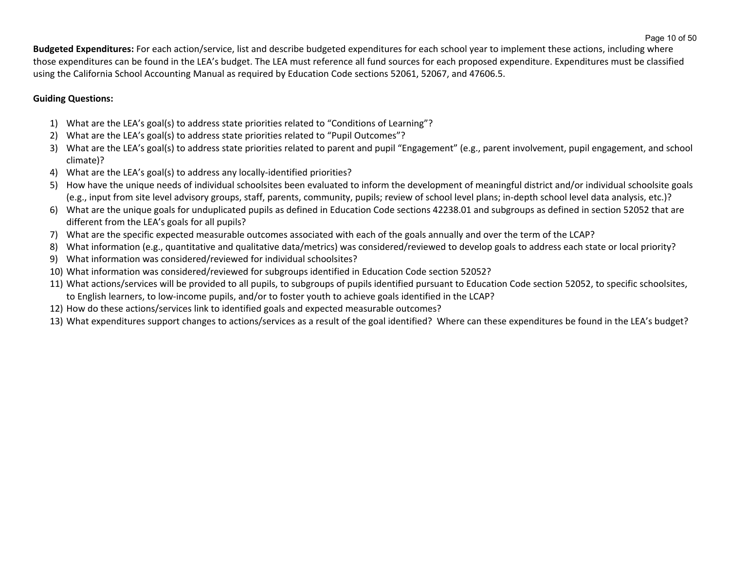**Budgeted Expenditures:** For each action/service, list and describe budgeted expenditures for each school year to implement these actions, including where those expenditures can be found in the LEA's budget. The LEA must reference all fund sources for each proposed expenditure. Expenditures must be classified using the California School Accounting Manual as required by Education Code sections 52061, 52067, and 47606.5.

# **Guiding Questions:**

- 1) What are the LEA's goal(s) to address state priorities related to "Conditions of Learning"?
- 2) What are the LEA's goal(s) to address state priorities related to "Pupil Outcomes"?
- 3) What are the LEA's goal(s) to address state priorities related to parent and pupil "Engagement" (e.g., parent involvement, pupil engagement, and school climate)?
- 4) What are the LEA's goal(s) to address any locally-identified priorities?
- 5) How have the unique needs of individual schoolsites been evaluated to inform the development of meaningful district and/or individual schoolsite goals (e.g., input from site level advisory groups, staff, parents, community, pupils; review of school level plans; in-depth school level data analysis, etc.)?
- 6) What are the unique goals for unduplicated pupils as defined in Education Code sections 42238.01 and subgroups as defined in section 52052 that are different from the LEA's goals for all pupils?
- 7) What are the specific expected measurable outcomes associated with each of the goals annually and over the term of the LCAP?
- 8) What information (e.g., quantitative and qualitative data/metrics) was considered/reviewed to develop goals to address each state or local priority?
- 9) What information was considered/reviewed for individual schoolsites?
- 10) What information was considered/reviewed for subgroups identified in Education Code section 52052?
- 11) What actions/services will be provided to all pupils, to subgroups of pupils identified pursuant to Education Code section 52052, to specific schoolsites, to English learners, to low-income pupils, and/or to foster youth to achieve goals identified in the LCAP?
- 12) How do these actions/services link to identified goals and expected measurable outcomes?
- 13) What expenditures support changes to actions/services as a result of the goal identified? Where can these expenditures be found in the LEA's budget?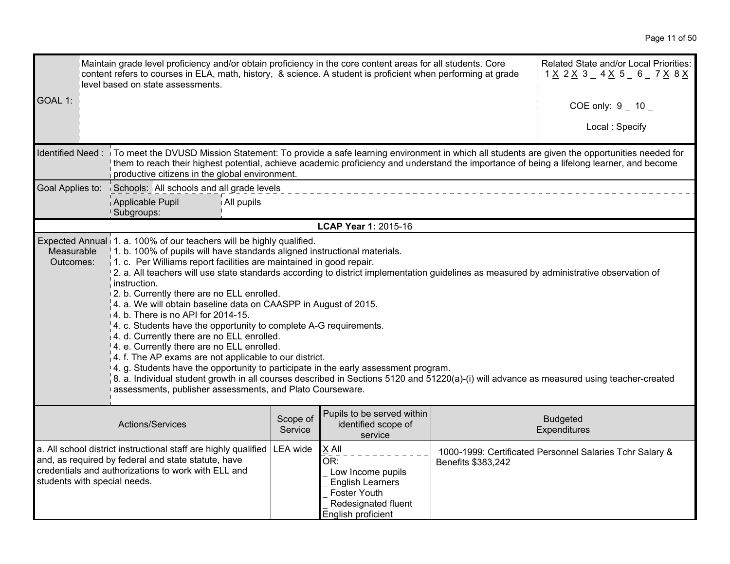| Maintain grade level proficiency and/or obtain proficiency in the core content areas for all students. Core<br>content refers to courses in ELA, math, history, & science. A student is proficient when performing at grade<br>level based on state assessments.                                                                                                                                                                                                                                                                                                                                                                                                                                                                                                                                                                                                                                                                                                                                                                                                                                           |                                                                                                                                                                                                                                                                                                                                         |                     |                                                                                                                                     |                    | Related State and/or Local Priorities:<br>1 <u>X</u> 2 <u>X</u> 3 _ 4 <u>X</u> 5 _ 6 _ 7 <u>X</u> 8 <u>X</u> |
|------------------------------------------------------------------------------------------------------------------------------------------------------------------------------------------------------------------------------------------------------------------------------------------------------------------------------------------------------------------------------------------------------------------------------------------------------------------------------------------------------------------------------------------------------------------------------------------------------------------------------------------------------------------------------------------------------------------------------------------------------------------------------------------------------------------------------------------------------------------------------------------------------------------------------------------------------------------------------------------------------------------------------------------------------------------------------------------------------------|-----------------------------------------------------------------------------------------------------------------------------------------------------------------------------------------------------------------------------------------------------------------------------------------------------------------------------------------|---------------------|-------------------------------------------------------------------------------------------------------------------------------------|--------------------|--------------------------------------------------------------------------------------------------------------|
| GOAL 1:                                                                                                                                                                                                                                                                                                                                                                                                                                                                                                                                                                                                                                                                                                                                                                                                                                                                                                                                                                                                                                                                                                    |                                                                                                                                                                                                                                                                                                                                         |                     |                                                                                                                                     |                    | COE only: $9 - 10$                                                                                           |
|                                                                                                                                                                                                                                                                                                                                                                                                                                                                                                                                                                                                                                                                                                                                                                                                                                                                                                                                                                                                                                                                                                            |                                                                                                                                                                                                                                                                                                                                         |                     |                                                                                                                                     |                    | Local: Specify                                                                                               |
| Identified Need:                                                                                                                                                                                                                                                                                                                                                                                                                                                                                                                                                                                                                                                                                                                                                                                                                                                                                                                                                                                                                                                                                           | To meet the DVUSD Mission Statement: To provide a safe learning environment in which all students are given the opportunities needed for<br>them to reach their highest potential, achieve academic proficiency and understand the importance of being a lifelong learner, and become<br>productive citizens in the global environment. |                     |                                                                                                                                     |                    |                                                                                                              |
| Goal Applies to:                                                                                                                                                                                                                                                                                                                                                                                                                                                                                                                                                                                                                                                                                                                                                                                                                                                                                                                                                                                                                                                                                           | Schools: All schools and all grade levels                                                                                                                                                                                                                                                                                               |                     |                                                                                                                                     |                    |                                                                                                              |
|                                                                                                                                                                                                                                                                                                                                                                                                                                                                                                                                                                                                                                                                                                                                                                                                                                                                                                                                                                                                                                                                                                            | Applicable Pupil<br>All pupils<br>Subgroups:                                                                                                                                                                                                                                                                                            |                     |                                                                                                                                     |                    |                                                                                                              |
|                                                                                                                                                                                                                                                                                                                                                                                                                                                                                                                                                                                                                                                                                                                                                                                                                                                                                                                                                                                                                                                                                                            |                                                                                                                                                                                                                                                                                                                                         |                     | LCAP Year 1: 2015-16                                                                                                                |                    |                                                                                                              |
| Expected Annual 1. a. 100% of our teachers will be highly qualified.<br>1. b. 100% of pupils will have standards aligned instructional materials.<br>Measurable<br>$\vert$ 1. c. Per Williams report facilities are maintained in good repair.<br>Outcomes:<br>2. a. All teachers will use state standards according to district implementation guidelines as measured by administrative observation of<br>instruction.<br>2. b. Currently there are no ELL enrolled.<br>4. a. We will obtain baseline data on CAASPP in August of 2015.<br>4. b. There is no API for 2014-15.<br>4. c. Students have the opportunity to complete A-G requirements.<br>4. d. Currently there are no ELL enrolled.<br>4. e. Currently there are no ELL enrolled.<br>4. f. The AP exams are not applicable to our district.<br>4. g. Students have the opportunity to participate in the early assessment program.<br>8. a. Individual student growth in all courses described in Sections 5120 and 51220(a)-(i) will advance as measured using teacher-created<br>assessments, publisher assessments, and Plato Courseware. |                                                                                                                                                                                                                                                                                                                                         |                     |                                                                                                                                     |                    |                                                                                                              |
|                                                                                                                                                                                                                                                                                                                                                                                                                                                                                                                                                                                                                                                                                                                                                                                                                                                                                                                                                                                                                                                                                                            | Actions/Services                                                                                                                                                                                                                                                                                                                        | Scope of<br>Service | Pupils to be served within<br>identified scope of<br>service                                                                        |                    | <b>Budgeted</b><br>Expenditures                                                                              |
| students with special needs.                                                                                                                                                                                                                                                                                                                                                                                                                                                                                                                                                                                                                                                                                                                                                                                                                                                                                                                                                                                                                                                                               | a. All school district instructional staff are highly qualified<br>and, as required by federal and state statute, have<br>credentials and authorizations to work with ELL and                                                                                                                                                           | LEA wide            | $ X$ All<br>OR:<br>Low Income pupils<br><b>English Learners</b><br><b>Foster Youth</b><br>Redesignated fluent<br>English proficient | Benefits \$383,242 | 1000-1999: Certificated Personnel Salaries Tchr Salary &                                                     |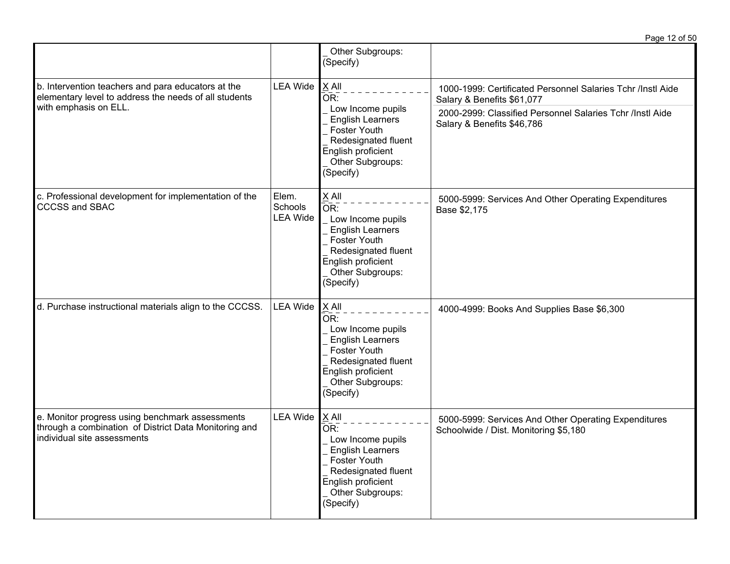|                                                                                                                                                         |                                                                                                                                            |                                                                                                                                                                     | Page 12 of 50                                                                                 |
|---------------------------------------------------------------------------------------------------------------------------------------------------------|--------------------------------------------------------------------------------------------------------------------------------------------|---------------------------------------------------------------------------------------------------------------------------------------------------------------------|-----------------------------------------------------------------------------------------------|
|                                                                                                                                                         |                                                                                                                                            | Other Subgroups:<br>(Specify)                                                                                                                                       |                                                                                               |
| <b>LEA Wide</b><br>b. Intervention teachers and para educators at the<br>elementary level to address the needs of all students<br>with emphasis on ELL. | X All<br>OR:                                                                                                                               | 1000-1999: Certificated Personnel Salaries Tchr /Instl Aide<br>Salary & Benefits \$61,077                                                                           |                                                                                               |
|                                                                                                                                                         | Low Income pupils<br><b>English Learners</b><br>Foster Youth<br>Redesignated fluent<br>English proficient<br>Other Subgroups:<br>(Specify) | 2000-2999: Classified Personnel Salaries Tchr /Instl Aide<br>Salary & Benefits \$46,786                                                                             |                                                                                               |
| c. Professional development for implementation of the<br><b>CCCSS and SBAC</b>                                                                          | Elem.<br>Schools<br><b>LEA Wide</b>                                                                                                        | X All<br>OR:<br>Low Income pupils<br><b>English Learners</b><br><b>Foster Youth</b><br>Redesignated fluent<br>English proficient<br>Other Subgroups:<br>(Specify)   | 5000-5999: Services And Other Operating Expenditures<br>Base \$2,175                          |
| d. Purchase instructional materials align to the CCCSS.                                                                                                 | <b>LEA Wide</b>                                                                                                                            | X All<br>OR:<br>Low Income pupils<br><b>English Learners</b><br><b>Foster Youth</b><br>Redesignated fluent<br>English proficient<br>Other Subgroups:<br>(Specify)   | 4000-4999: Books And Supplies Base \$6,300                                                    |
| e. Monitor progress using benchmark assessments<br>through a combination of District Data Monitoring and<br>individual site assessments                 | <b>LEA Wide</b>                                                                                                                            | $X$ All<br>OR:<br>Low Income pupils<br><b>English Learners</b><br><b>Foster Youth</b><br>Redesignated fluent<br>English proficient<br>Other Subgroups:<br>(Specify) | 5000-5999: Services And Other Operating Expenditures<br>Schoolwide / Dist. Monitoring \$5,180 |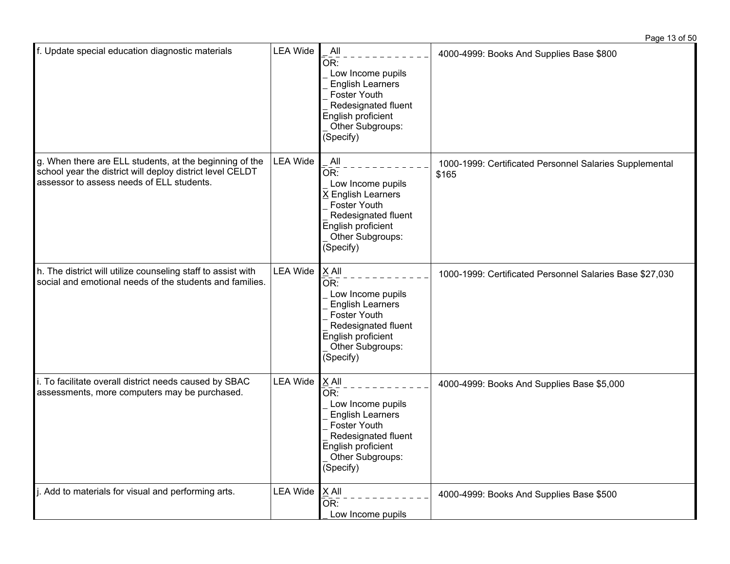| f. Update special education diagnostic materials                                                                                                                  | <b>LEA Wide</b> | All<br>OR:<br>Low Income pupils<br><b>English Learners</b><br>Foster Youth<br>Redesignated fluent<br>English proficient<br>Other Subgroups:<br>(Specify)                     | 4000-4999: Books And Supplies Base \$800                         |
|-------------------------------------------------------------------------------------------------------------------------------------------------------------------|-----------------|------------------------------------------------------------------------------------------------------------------------------------------------------------------------------|------------------------------------------------------------------|
| g. When there are ELL students, at the beginning of the<br>school year the district will deploy district level CELDT<br>assessor to assess needs of ELL students. | <b>LEA Wide</b> | All<br>OR:<br>Low Income pupils<br>X English Learners<br>Foster Youth<br>Redesignated fluent<br>English proficient<br>Other Subgroups:<br>(Specify)                          | 1000-1999: Certificated Personnel Salaries Supplemental<br>\$165 |
| h. The district will utilize counseling staff to assist with<br>social and emotional needs of the students and families.                                          | <b>LEA Wide</b> | X All<br>$\bar{\mathsf{OR}}$ :<br>Low Income pupils<br><b>English Learners</b><br>Foster Youth<br>Redesignated fluent<br>English proficient<br>Other Subgroups:<br>(Specify) | 1000-1999: Certificated Personnel Salaries Base \$27,030         |
| i. To facilitate overall district needs caused by SBAC<br>assessments, more computers may be purchased.                                                           | <b>LEA Wide</b> | X All<br>OR:<br>Low Income pupils<br><b>English Learners</b><br>Foster Youth<br>Redesignated fluent<br>English proficient<br>Other Subgroups:<br>(Specify)                   | 4000-4999: Books And Supplies Base \$5,000                       |
| j. Add to materials for visual and performing arts.                                                                                                               | <b>LEA Wide</b> | X All<br>OR:<br>Low Income pupils                                                                                                                                            | 4000-4999: Books And Supplies Base \$500                         |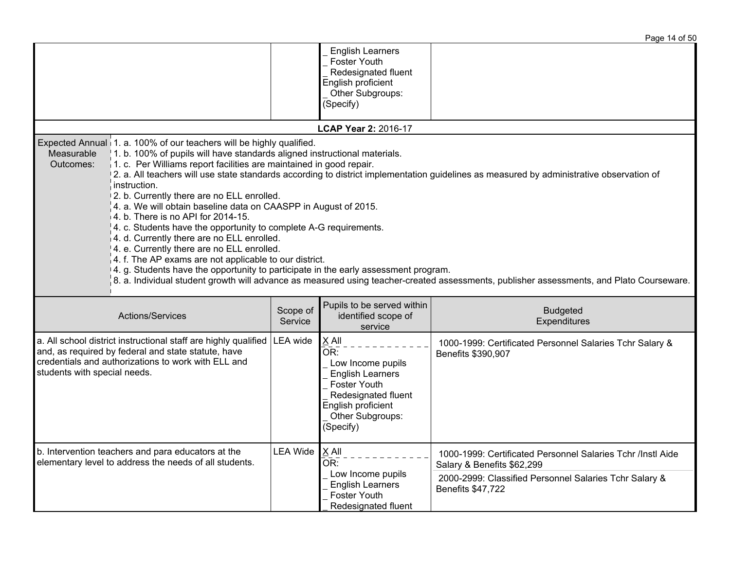|                                                                                                                                                                                                                                                                                                                                                                                                                                                                                                                                                                                                                                                                                                                                                                                                                                                                                                                                                                                                                                      |                     |                                                                                                                                                            | Page 14 of 50                                                                             |  |  |  |
|--------------------------------------------------------------------------------------------------------------------------------------------------------------------------------------------------------------------------------------------------------------------------------------------------------------------------------------------------------------------------------------------------------------------------------------------------------------------------------------------------------------------------------------------------------------------------------------------------------------------------------------------------------------------------------------------------------------------------------------------------------------------------------------------------------------------------------------------------------------------------------------------------------------------------------------------------------------------------------------------------------------------------------------|---------------------|------------------------------------------------------------------------------------------------------------------------------------------------------------|-------------------------------------------------------------------------------------------|--|--|--|
|                                                                                                                                                                                                                                                                                                                                                                                                                                                                                                                                                                                                                                                                                                                                                                                                                                                                                                                                                                                                                                      |                     | <b>English Learners</b><br>Foster Youth<br>Redesignated fluent<br>English proficient<br>Other Subgroups:<br>(Specify)                                      |                                                                                           |  |  |  |
| LCAP Year 2: 2016-17                                                                                                                                                                                                                                                                                                                                                                                                                                                                                                                                                                                                                                                                                                                                                                                                                                                                                                                                                                                                                 |                     |                                                                                                                                                            |                                                                                           |  |  |  |
| Expected Annual 1. a. 100% of our teachers will be highly qualified.<br>1. b. 100% of pupils will have standards aligned instructional materials.<br>Measurable<br>1. c. Per Williams report facilities are maintained in good repair.<br>Outcomes:<br>2. a. All teachers will use state standards according to district implementation guidelines as measured by administrative observation of<br>instruction.<br>2. b. Currently there are no ELL enrolled.<br>4. a. We will obtain baseline data on CAASPP in August of 2015.<br>4. b. There is no API for 2014-15.<br>4. c. Students have the opportunity to complete A-G requirements.<br>4. d. Currently there are no ELL enrolled.<br>4. e. Currently there are no ELL enrolled.<br>4. f. The AP exams are not applicable to our district.<br>4. g. Students have the opportunity to participate in the early assessment program.<br>8. a. Individual student growth will advance as measured using teacher-created assessments, publisher assessments, and Plato Courseware. |                     |                                                                                                                                                            |                                                                                           |  |  |  |
| Actions/Services                                                                                                                                                                                                                                                                                                                                                                                                                                                                                                                                                                                                                                                                                                                                                                                                                                                                                                                                                                                                                     | Scope of<br>Service | Pupils to be served within<br>identified scope of<br>service                                                                                               | <b>Budgeted</b><br>Expenditures                                                           |  |  |  |
| a. All school district instructional staff are highly qualified<br>and, as required by federal and state statute, have<br>credentials and authorizations to work with ELL and<br>students with special needs.                                                                                                                                                                                                                                                                                                                                                                                                                                                                                                                                                                                                                                                                                                                                                                                                                        | LEA wide            | X All<br>OR:<br>Low Income pupils<br><b>English Learners</b><br>Foster Youth<br>Redesignated fluent<br>English proficient<br>Other Subgroups:<br>(Specify) | 1000-1999: Certificated Personnel Salaries Tchr Salary &<br>Benefits \$390,907            |  |  |  |
| b. Intervention teachers and para educators at the<br>elementary level to address the needs of all students.                                                                                                                                                                                                                                                                                                                                                                                                                                                                                                                                                                                                                                                                                                                                                                                                                                                                                                                         | <b>LEA Wide</b>     | $X$ All<br>OR:                                                                                                                                             | 1000-1999: Certificated Personnel Salaries Tchr /Instl Aide<br>Salary & Benefits \$62,299 |  |  |  |
|                                                                                                                                                                                                                                                                                                                                                                                                                                                                                                                                                                                                                                                                                                                                                                                                                                                                                                                                                                                                                                      |                     | Low Income pupils<br><b>English Learners</b><br>Foster Youth<br>Redesignated fluent                                                                        | 2000-2999: Classified Personnel Salaries Tchr Salary &<br>Benefits \$47,722               |  |  |  |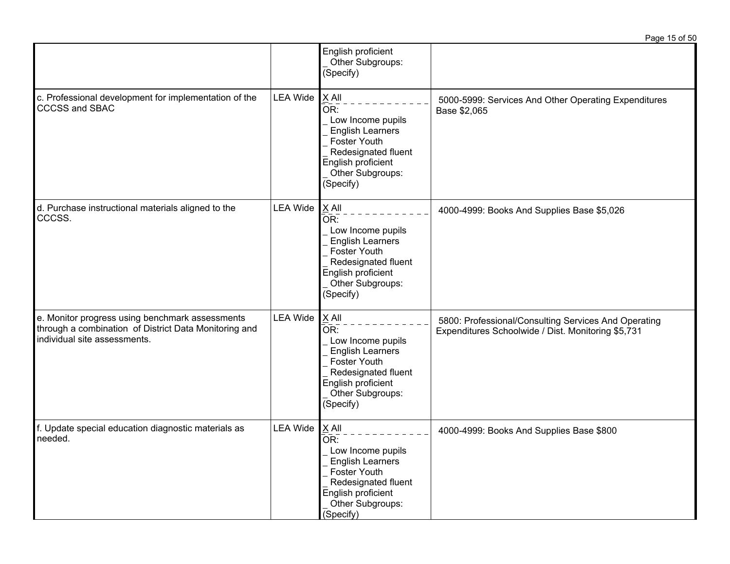|                                                                                                                                          |                 |                                                                                                                                                                                                   | Page 15 of 50                                                                                              |
|------------------------------------------------------------------------------------------------------------------------------------------|-----------------|---------------------------------------------------------------------------------------------------------------------------------------------------------------------------------------------------|------------------------------------------------------------------------------------------------------------|
|                                                                                                                                          |                 | English proficient<br>Other Subgroups:<br>(Specify)                                                                                                                                               |                                                                                                            |
| c. Professional development for implementation of the<br><b>CCCSS and SBAC</b>                                                           | <b>LEA Wide</b> | X All<br>OR:<br>Low Income pupils<br><b>English Learners</b><br><b>Foster Youth</b><br>Redesignated fluent<br>English proficient<br>Other Subgroups:<br>(Specify)                                 | 5000-5999: Services And Other Operating Expenditures<br>Base \$2,065                                       |
| d. Purchase instructional materials aligned to the<br>CCCSS.                                                                             | <b>LEA Wide</b> | X All<br>OR:<br>Low Income pupils<br><b>English Learners</b><br><b>Foster Youth</b><br>Redesignated fluent<br>English proficient<br>Other Subgroups:<br>(Specify)                                 | 4000-4999: Books And Supplies Base \$5,026                                                                 |
| e. Monitor progress using benchmark assessments<br>through a combination of District Data Monitoring and<br>individual site assessments. | <b>LEA Wide</b> | X All<br>$\overline{\overline{\text{OR}}}$ :<br>Low Income pupils<br><b>English Learners</b><br><b>Foster Youth</b><br>Redesignated fluent<br>English proficient<br>Other Subgroups:<br>(Specify) | 5800: Professional/Consulting Services And Operating<br>Expenditures Schoolwide / Dist. Monitoring \$5,731 |
| f. Update special education diagnostic materials as<br>needed.                                                                           | <b>LEA Wide</b> | X All<br>OR:<br>Low Income pupils<br><b>English Learners</b><br><b>Foster Youth</b><br>Redesignated fluent<br>English proficient<br>Other Subgroups:<br>(Specify)                                 | 4000-4999: Books And Supplies Base \$800                                                                   |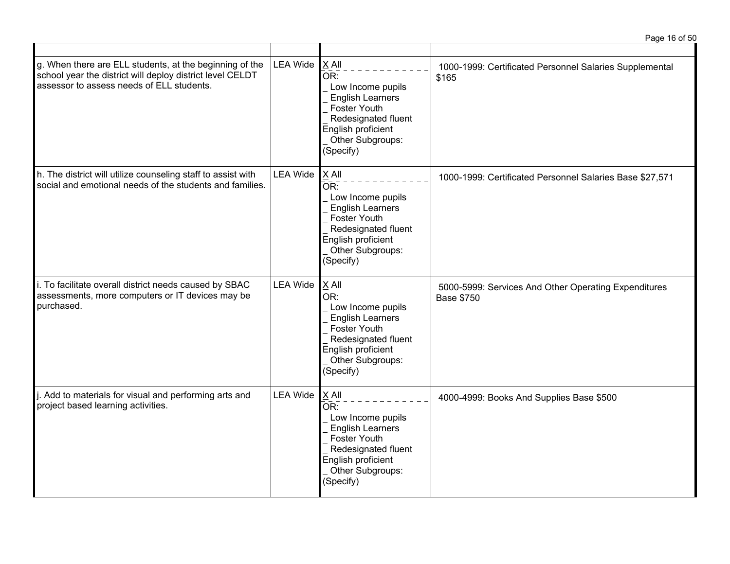|                                                                                                                                                                   |                 |                                                                                                                                                                       | Page 16 of 50                                                             |
|-------------------------------------------------------------------------------------------------------------------------------------------------------------------|-----------------|-----------------------------------------------------------------------------------------------------------------------------------------------------------------------|---------------------------------------------------------------------------|
| g. When there are ELL students, at the beginning of the<br>school year the district will deploy district level CELDT<br>assessor to assess needs of ELL students. | <b>LEA Wide</b> | $X$ All<br>OR:<br>Low Income pupils<br><b>English Learners</b><br>Foster Youth<br>Redesignated fluent<br>English proficient<br>Other Subgroups:<br>(Specify)          | 1000-1999: Certificated Personnel Salaries Supplemental<br>\$165          |
| h. The district will utilize counseling staff to assist with<br>social and emotional needs of the students and families.                                          | <b>LEA Wide</b> | $X$ All<br>OR:<br>Low Income pupils<br><b>English Learners</b><br>Foster Youth<br>Redesignated fluent<br>English proficient<br>Other Subgroups:<br>(Specify)          | 1000-1999: Certificated Personnel Salaries Base \$27,571                  |
| i. To facilitate overall district needs caused by SBAC<br>assessments, more computers or IT devices may be<br>purchased.                                          | <b>LEA Wide</b> | $X$ All<br>$\bar{OR}$ :<br>Low Income pupils<br><b>English Learners</b><br>Foster Youth<br>Redesignated fluent<br>English proficient<br>Other Subgroups:<br>(Specify) | 5000-5999: Services And Other Operating Expenditures<br><b>Base \$750</b> |
| j. Add to materials for visual and performing arts and<br>project based learning activities.                                                                      | <b>LEA Wide</b> | X All<br>OR:<br>Low Income pupils<br><b>English Learners</b><br>Foster Youth<br>Redesignated fluent<br>English proficient<br>Other Subgroups:<br>(Specify)            | 4000-4999: Books And Supplies Base \$500                                  |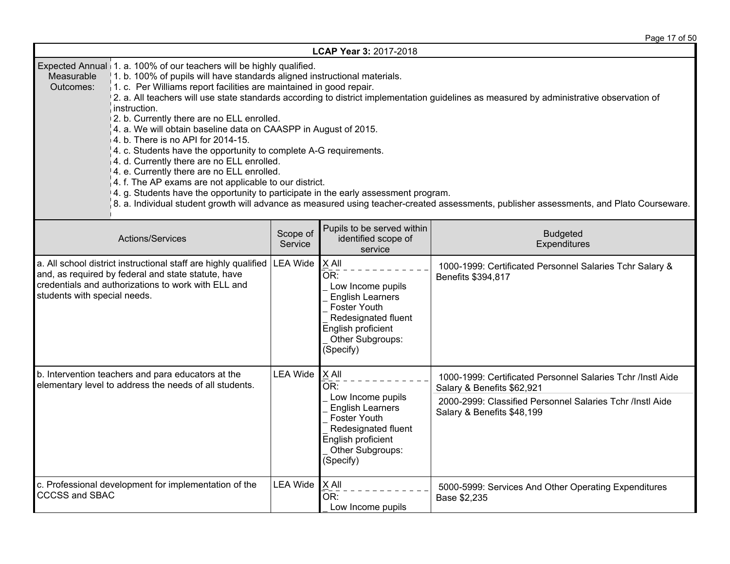Page 17 of 50

|                                                                                                                                                                                                                                                                                                                                                                                                                                                                                                                                                                                                                                                                                                                                                                                                                                                                                                                                                                                                                                                        | LCAP Year 3: 2017-2018 |                                                                                                                                                              |                                                                                                                                                                                      |  |  |
|--------------------------------------------------------------------------------------------------------------------------------------------------------------------------------------------------------------------------------------------------------------------------------------------------------------------------------------------------------------------------------------------------------------------------------------------------------------------------------------------------------------------------------------------------------------------------------------------------------------------------------------------------------------------------------------------------------------------------------------------------------------------------------------------------------------------------------------------------------------------------------------------------------------------------------------------------------------------------------------------------------------------------------------------------------|------------------------|--------------------------------------------------------------------------------------------------------------------------------------------------------------|--------------------------------------------------------------------------------------------------------------------------------------------------------------------------------------|--|--|
| Expected Annual 1. a. 100% of our teachers will be highly qualified.<br>Measurable<br>1. b. 100% of pupils will have standards aligned instructional materials.<br>$\vert$ 1. c. Per Williams report facilities are maintained in good repair.<br>Outcomes:<br>2. a. All teachers will use state standards according to district implementation guidelines as measured by administrative observation of<br>instruction.<br>2. b. Currently there are no ELL enrolled.<br>4. a. We will obtain baseline data on CAASPP in August of 2015.<br>$4. b.$ There is no API for 2014-15.<br>4. c. Students have the opportunity to complete A-G requirements.<br>4. d. Currently there are no ELL enrolled.<br>4. e. Currently there are no ELL enrolled.<br>$\vert$ 4. f. The AP exams are not applicable to our district.<br>4. g. Students have the opportunity to participate in the early assessment program.<br>8. a. Individual student growth will advance as measured using teacher-created assessments, publisher assessments, and Plato Courseware. |                        |                                                                                                                                                              |                                                                                                                                                                                      |  |  |
| Actions/Services                                                                                                                                                                                                                                                                                                                                                                                                                                                                                                                                                                                                                                                                                                                                                                                                                                                                                                                                                                                                                                       | Scope of<br>Service    | Pupils to be served within<br>identified scope of<br>service                                                                                                 | <b>Budgeted</b><br>Expenditures                                                                                                                                                      |  |  |
| a. All school district instructional staff are highly qualified<br>and, as required by federal and state statute, have<br>credentials and authorizations to work with ELL and<br>students with special needs.                                                                                                                                                                                                                                                                                                                                                                                                                                                                                                                                                                                                                                                                                                                                                                                                                                          | <b>LEA Wide</b>        | $X$ All<br>OR:<br>Low Income pupils<br><b>English Learners</b><br>Foster Youth<br>Redesignated fluent<br>English proficient<br>Other Subgroups:<br>(Specify) | 1000-1999: Certificated Personnel Salaries Tchr Salary &<br>Benefits \$394,817                                                                                                       |  |  |
| b. Intervention teachers and para educators at the<br>elementary level to address the needs of all students.                                                                                                                                                                                                                                                                                                                                                                                                                                                                                                                                                                                                                                                                                                                                                                                                                                                                                                                                           | <b>LEA Wide</b>        | X All<br>OR:<br>Low Income pupils<br><b>English Learners</b><br>Foster Youth<br>Redesignated fluent<br>English proficient<br>Other Subgroups:<br>(Specify)   | 1000-1999: Certificated Personnel Salaries Tchr /Instl Aide<br>Salary & Benefits \$62,921<br>2000-2999: Classified Personnel Salaries Tchr /Instl Aide<br>Salary & Benefits \$48,199 |  |  |
| c. Professional development for implementation of the<br><b>CCCSS and SBAC</b>                                                                                                                                                                                                                                                                                                                                                                                                                                                                                                                                                                                                                                                                                                                                                                                                                                                                                                                                                                         | <b>LEA Wide</b>        | $X$ All<br>OR:<br>Low Income pupils                                                                                                                          | 5000-5999: Services And Other Operating Expenditures<br>Base \$2,235                                                                                                                 |  |  |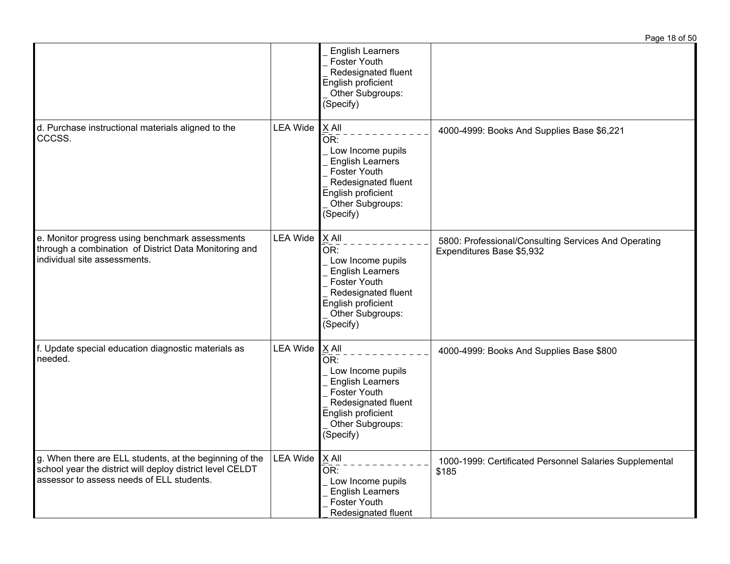|                                                                                                                                                                   |                 |                                                                                                                                                              | Page 18 of 50                                                                     |
|-------------------------------------------------------------------------------------------------------------------------------------------------------------------|-----------------|--------------------------------------------------------------------------------------------------------------------------------------------------------------|-----------------------------------------------------------------------------------|
|                                                                                                                                                                   |                 | <b>English Learners</b><br>Foster Youth<br>Redesignated fluent<br>English proficient<br>Other Subgroups:<br>(Specify)                                        |                                                                                   |
| d. Purchase instructional materials aligned to the<br>CCCSS.                                                                                                      | <b>LEA Wide</b> | $X$ All<br>OR:<br>Low Income pupils<br><b>English Learners</b><br>Foster Youth<br>Redesignated fluent<br>English proficient<br>Other Subgroups:<br>(Specify) | 4000-4999: Books And Supplies Base \$6,221                                        |
| e. Monitor progress using benchmark assessments<br>through a combination of District Data Monitoring and<br>individual site assessments.                          | <b>LEA Wide</b> | $X$ All<br>OR:<br>Low Income pupils<br><b>English Learners</b><br>Foster Youth<br>Redesignated fluent<br>English proficient<br>Other Subgroups:<br>(Specify) | 5800: Professional/Consulting Services And Operating<br>Expenditures Base \$5,932 |
| f. Update special education diagnostic materials as<br>needed.                                                                                                    | <b>LEA Wide</b> | $X$ All<br>OR:<br>Low Income pupils<br><b>English Learners</b><br>Foster Youth<br>Redesignated fluent<br>English proficient<br>Other Subgroups:<br>(Specify) | 4000-4999: Books And Supplies Base \$800                                          |
| g. When there are ELL students, at the beginning of the<br>school year the district will deploy district level CELDT<br>assessor to assess needs of ELL students. | <b>LEA Wide</b> | $X$ All<br>OR:<br>Low Income pupils<br><b>English Learners</b><br>Foster Youth<br>Redesignated fluent                                                        | 1000-1999: Certificated Personnel Salaries Supplemental<br>\$185                  |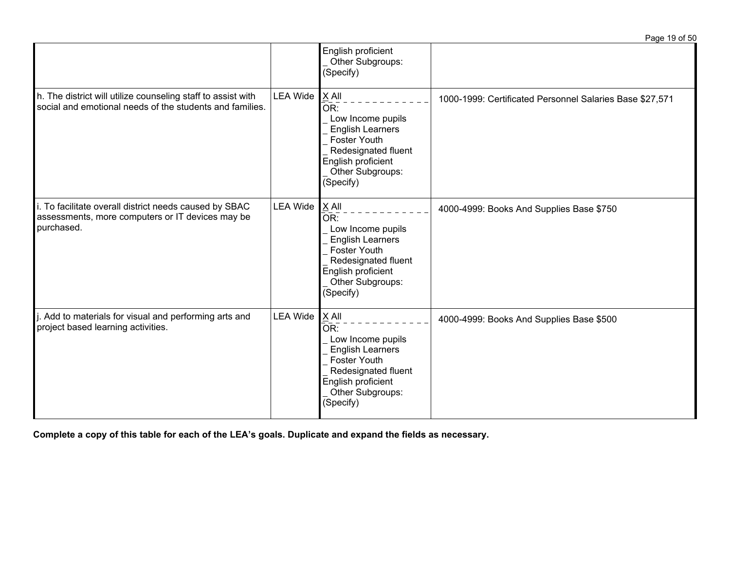|                                                                                                                          |                 |                                                                                                                                                                                 | Page 19 of 50                                            |
|--------------------------------------------------------------------------------------------------------------------------|-----------------|---------------------------------------------------------------------------------------------------------------------------------------------------------------------------------|----------------------------------------------------------|
|                                                                                                                          |                 | English proficient<br>Other Subgroups:<br>(Specify)                                                                                                                             |                                                          |
| h. The district will utilize counseling staff to assist with<br>social and emotional needs of the students and families. | <b>LEA Wide</b> | X All<br>OR:<br>Low Income pupils<br><b>English Learners</b><br><b>Foster Youth</b><br>Redesignated fluent<br>English proficient<br>Other Subgroups:<br>(Specify)               | 1000-1999: Certificated Personnel Salaries Base \$27,571 |
| i. To facilitate overall district needs caused by SBAC<br>assessments, more computers or IT devices may be<br>purchased. | <b>LEA Wide</b> | X All<br>$\overline{OR}$ :<br>Low Income pupils<br><b>English Learners</b><br><b>Foster Youth</b><br>Redesignated fluent<br>English proficient<br>Other Subgroups:<br>(Specify) | 4000-4999: Books And Supplies Base \$750                 |
| . Add to materials for visual and performing arts and<br>project based learning activities.                              | <b>LEA Wide</b> | $X$ All<br>OR:<br>Low Income pupils<br><b>English Learners</b><br><b>Foster Youth</b><br>Redesignated fluent<br>English proficient<br>Other Subgroups:<br>(Specify)             | 4000-4999: Books And Supplies Base \$500                 |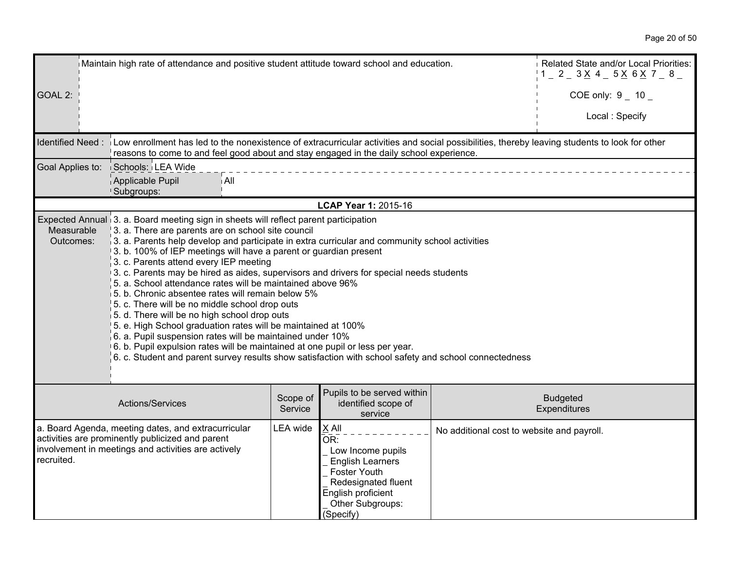| Maintain high rate of attendance and positive student attitude toward school and education.                                                                                  | Related State and/or Local Priorities:<br>$1 - 2 - 3 \times 4 - 5 \times 6 \times 7 - 8$                                                                                                                                                                                                                                                                                                                                                                                                                                                                                                                                                                                                                                                                                                                                                                                                                                                                                                                     |          |                                                                                                                                                            |                                            |                      |  |
|------------------------------------------------------------------------------------------------------------------------------------------------------------------------------|--------------------------------------------------------------------------------------------------------------------------------------------------------------------------------------------------------------------------------------------------------------------------------------------------------------------------------------------------------------------------------------------------------------------------------------------------------------------------------------------------------------------------------------------------------------------------------------------------------------------------------------------------------------------------------------------------------------------------------------------------------------------------------------------------------------------------------------------------------------------------------------------------------------------------------------------------------------------------------------------------------------|----------|------------------------------------------------------------------------------------------------------------------------------------------------------------|--------------------------------------------|----------------------|--|
| GOAL 2:                                                                                                                                                                      |                                                                                                                                                                                                                                                                                                                                                                                                                                                                                                                                                                                                                                                                                                                                                                                                                                                                                                                                                                                                              |          |                                                                                                                                                            |                                            | COE only: $9 - 10 -$ |  |
|                                                                                                                                                                              |                                                                                                                                                                                                                                                                                                                                                                                                                                                                                                                                                                                                                                                                                                                                                                                                                                                                                                                                                                                                              |          |                                                                                                                                                            |                                            | Local: Specify       |  |
|                                                                                                                                                                              | Identified Need: Low enrollment has led to the nonexistence of extracurricular activities and social possibilities, thereby leaving students to look for other<br>reasons to come to and feel good about and stay engaged in the daily school experience.                                                                                                                                                                                                                                                                                                                                                                                                                                                                                                                                                                                                                                                                                                                                                    |          |                                                                                                                                                            |                                            |                      |  |
| Goal Applies to:                                                                                                                                                             | Schools: LEA Wide                                                                                                                                                                                                                                                                                                                                                                                                                                                                                                                                                                                                                                                                                                                                                                                                                                                                                                                                                                                            |          |                                                                                                                                                            |                                            |                      |  |
|                                                                                                                                                                              | Applicable Pupil<br>i All<br>Subgroups:                                                                                                                                                                                                                                                                                                                                                                                                                                                                                                                                                                                                                                                                                                                                                                                                                                                                                                                                                                      |          |                                                                                                                                                            |                                            |                      |  |
|                                                                                                                                                                              |                                                                                                                                                                                                                                                                                                                                                                                                                                                                                                                                                                                                                                                                                                                                                                                                                                                                                                                                                                                                              |          | LCAP Year 1: 2015-16                                                                                                                                       |                                            |                      |  |
| Measurable<br>Outcomes:                                                                                                                                                      | Expected Annual 3. a. Board meeting sign in sheets will reflect parent participation<br>3. a. There are parents are on school site council<br>$\beta$ . a. Parents help develop and participate in extra curricular and community school activities<br>3. b. 100% of IEP meetings will have a parent or guardian present<br>3. c. Parents attend every IEP meeting<br>3. c. Parents may be hired as aides, supervisors and drivers for special needs students<br>5. a. School attendance rates will be maintained above 96%<br>5. b. Chronic absentee rates will remain below 5%<br>5. c. There will be no middle school drop outs<br>5. d. There will be no high school drop outs<br>5. e. High School graduation rates will be maintained at 100%<br>$6.$ a. Pupil suspension rates will be maintained under 10%<br>6. b. Pupil expulsion rates will be maintained at one pupil or less per year.<br>6. c. Student and parent survey results show satisfaction with school safety and school connectedness |          |                                                                                                                                                            |                                            |                      |  |
|                                                                                                                                                                              | Pupils to be served within<br>Scope of<br><b>Budgeted</b><br>Actions/Services<br>identified scope of<br>Service<br>Expenditures<br>service                                                                                                                                                                                                                                                                                                                                                                                                                                                                                                                                                                                                                                                                                                                                                                                                                                                                   |          |                                                                                                                                                            |                                            |                      |  |
| a. Board Agenda, meeting dates, and extracurricular<br>activities are prominently publicized and parent<br>involvement in meetings and activities are actively<br>recruited. |                                                                                                                                                                                                                                                                                                                                                                                                                                                                                                                                                                                                                                                                                                                                                                                                                                                                                                                                                                                                              | LEA wide | X All<br>OR:<br>Low Income pupils<br><b>English Learners</b><br>Foster Youth<br>Redesignated fluent<br>English proficient<br>Other Subgroups:<br>(Specify) | No additional cost to website and payroll. |                      |  |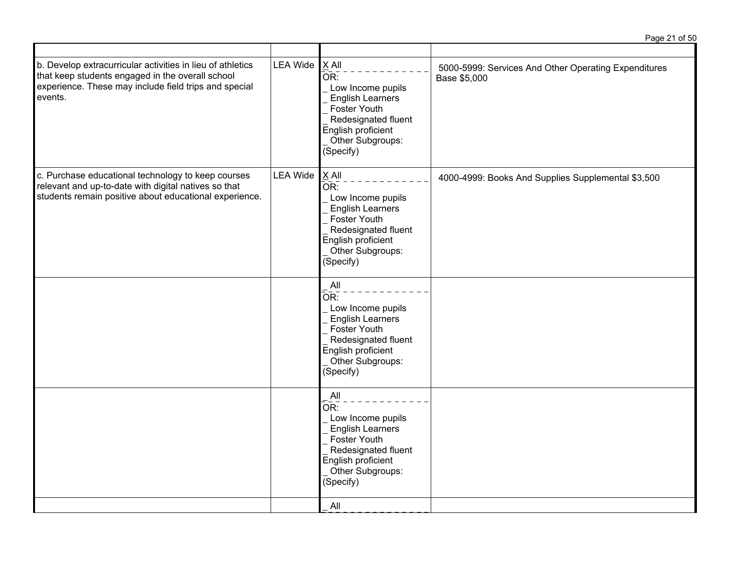| b. Develop extracurricular activities in lieu of athletics<br>that keep students engaged in the overall school<br>experience. These may include field trips and special<br>events. | <b>LEA Wide</b> | $X$ All<br>OR:<br>Low Income pupils<br><b>English Learners</b><br>Foster Youth<br>Redesignated fluent<br>English proficient<br>Other Subgroups:<br>(Specify)                   | 5000-5999: Services And Other Operating Expenditures<br>Base \$5,000 |
|------------------------------------------------------------------------------------------------------------------------------------------------------------------------------------|-----------------|--------------------------------------------------------------------------------------------------------------------------------------------------------------------------------|----------------------------------------------------------------------|
| c. Purchase educational technology to keep courses<br>relevant and up-to-date with digital natives so that<br>students remain positive about educational experience.               | <b>LEA Wide</b> | $X$ All<br>$\bar{\mathsf{OR}}$ :<br>Low Income pupils<br><b>English Learners</b><br>Foster Youth<br>Redesignated fluent<br>English proficient<br>Other Subgroups:<br>(Specify) | 4000-4999: Books And Supplies Supplemental \$3,500                   |
|                                                                                                                                                                                    |                 | All<br>OR:<br>Low Income pupils<br><b>English Learners</b><br>Foster Youth<br>Redesignated fluent<br>English proficient<br>Other Subgroups:<br>(Specify)                       |                                                                      |
|                                                                                                                                                                                    |                 | All<br>OR:<br>Low Income pupils<br><b>English Learners</b><br>Foster Youth<br>Redesignated fluent<br>English proficient<br>Other Subgroups:<br>(Specify)                       |                                                                      |
|                                                                                                                                                                                    |                 | All                                                                                                                                                                            |                                                                      |

Page 21 of 50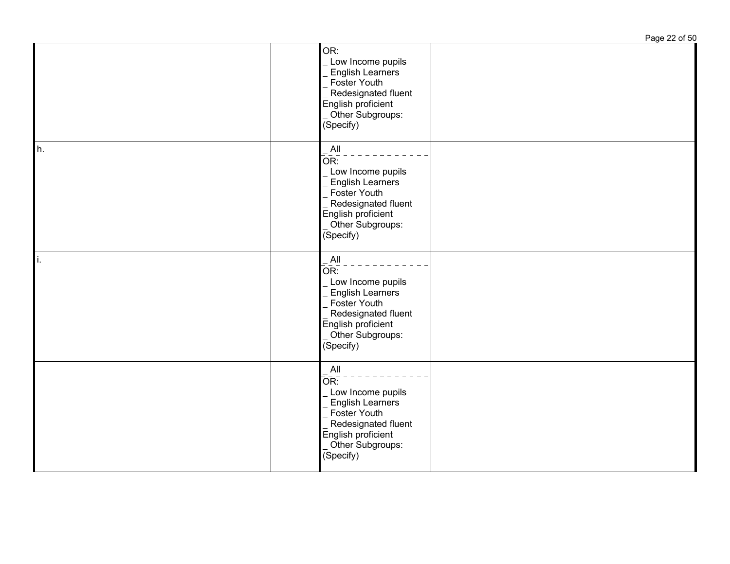|    |                                                                                                                                                                                          | Page 22 of 50 |
|----|------------------------------------------------------------------------------------------------------------------------------------------------------------------------------------------|---------------|
|    | OR:<br>Low Income pupils<br><b>English Learners</b><br>Foster Youth<br>Redesignated fluent<br>English proficient<br>Other Subgroups:<br>(Specify)                                        |               |
| h. | All<br>OR:<br>Low Income pupils<br><b>English Learners</b><br>Foster Youth<br>Redesignated fluent<br>English proficient<br>Other Subgroups:<br>$\overline{\text{(Specify)}}$             |               |
| ı. | AlI<br>OR:<br>Low Income pupils<br>English Learners<br>Foster Youth<br>Redesignated fluent<br>English proficient<br>Other Subgroups:<br>(Specify)                                        |               |
|    | All<br>$\overline{\overline{\text{OR}}}$ :<br>Low Income pupils<br><b>English Learners</b><br>Foster Youth<br>Redesignated fluent<br>English proficient<br>Other Subgroups:<br>(Specify) |               |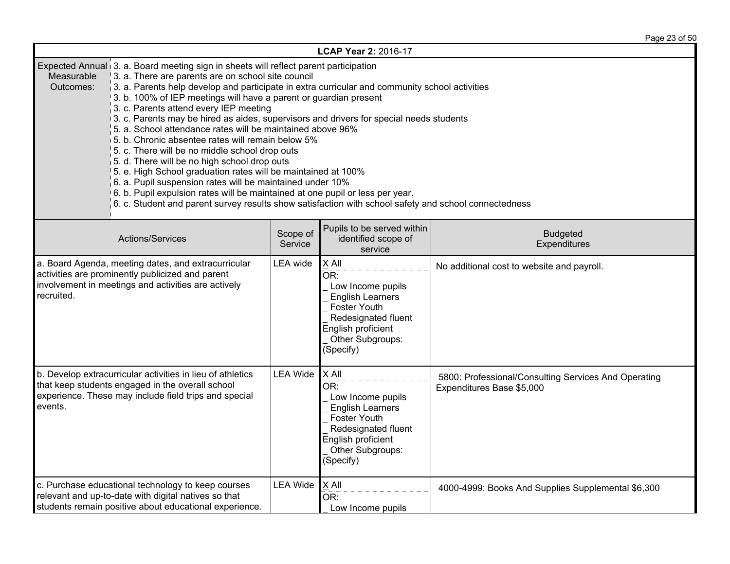Page 23 of 50

| LCAP Year 2: 2016-17                                                                                                                                                                                                                                                                                                                                                                                                                                                                                                                                                                                                                                                                                                                                                                                                                                                                                                                                                                                                           |                                                                                                                        |                                                                                                                                                                   |                                                                                   |  |  |  |  |
|--------------------------------------------------------------------------------------------------------------------------------------------------------------------------------------------------------------------------------------------------------------------------------------------------------------------------------------------------------------------------------------------------------------------------------------------------------------------------------------------------------------------------------------------------------------------------------------------------------------------------------------------------------------------------------------------------------------------------------------------------------------------------------------------------------------------------------------------------------------------------------------------------------------------------------------------------------------------------------------------------------------------------------|------------------------------------------------------------------------------------------------------------------------|-------------------------------------------------------------------------------------------------------------------------------------------------------------------|-----------------------------------------------------------------------------------|--|--|--|--|
| Expected Annual 3. a. Board meeting sign in sheets will reflect parent participation<br>Measurable<br>3. a. There are parents are on school site council<br>3. a. Parents help develop and participate in extra curricular and community school activities<br>Outcomes:<br>3. b. 100% of IEP meetings will have a parent or guardian present<br>3. c. Parents attend every IEP meeting<br>3. c. Parents may be hired as aides, supervisors and drivers for special needs students<br>5. a. School attendance rates will be maintained above 96%<br>5. b. Chronic absentee rates will remain below 5%<br>5. c. There will be no middle school drop outs<br>5. d. There will be no high school drop outs<br>5. e. High School graduation rates will be maintained at 100%<br>6. a. Pupil suspension rates will be maintained under 10%<br>6. b. Pupil expulsion rates will be maintained at one pupil or less per year.<br>6. c. Student and parent survey results show satisfaction with school safety and school connectedness |                                                                                                                        |                                                                                                                                                                   |                                                                                   |  |  |  |  |
| Actions/Services                                                                                                                                                                                                                                                                                                                                                                                                                                                                                                                                                                                                                                                                                                                                                                                                                                                                                                                                                                                                               | Pupils to be served within<br>Scope of<br><b>Budgeted</b><br>identified scope of<br>Service<br>Expenditures<br>service |                                                                                                                                                                   |                                                                                   |  |  |  |  |
| a. Board Agenda, meeting dates, and extracurricular<br>activities are prominently publicized and parent<br>involvement in meetings and activities are actively<br>recruited.                                                                                                                                                                                                                                                                                                                                                                                                                                                                                                                                                                                                                                                                                                                                                                                                                                                   | LEA wide                                                                                                               | X All<br>OR:<br>Low Income pupils<br><b>English Learners</b><br>Foster Youth<br>Redesignated fluent<br>English proficient<br>Other Subgroups:<br>(Specify)        | No additional cost to website and payroll.                                        |  |  |  |  |
| b. Develop extracurricular activities in lieu of athletics<br><b>LEA Wide</b><br>that keep students engaged in the overall school<br>experience. These may include field trips and special<br>events.                                                                                                                                                                                                                                                                                                                                                                                                                                                                                                                                                                                                                                                                                                                                                                                                                          |                                                                                                                        | X All<br>OR:<br>Low Income pupils<br><b>English Learners</b><br><b>Foster Youth</b><br>Redesignated fluent<br>English proficient<br>Other Subgroups:<br>(Specify) | 5800: Professional/Consulting Services And Operating<br>Expenditures Base \$5,000 |  |  |  |  |
| c. Purchase educational technology to keep courses<br>relevant and up-to-date with digital natives so that<br>students remain positive about educational experience.                                                                                                                                                                                                                                                                                                                                                                                                                                                                                                                                                                                                                                                                                                                                                                                                                                                           | <b>LEA Wide</b>                                                                                                        | X All<br>OR:<br>Low Income pupils                                                                                                                                 | 4000-4999: Books And Supplies Supplemental \$6,300                                |  |  |  |  |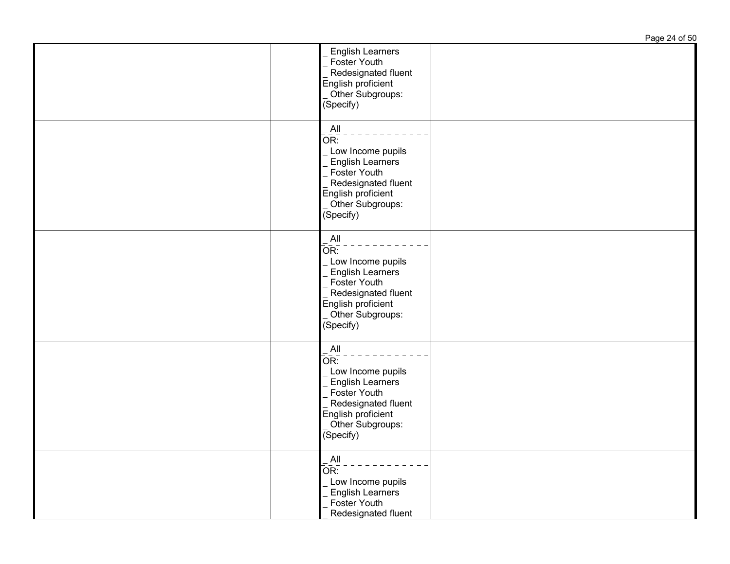English Learners Foster Youth Redesignated fluent English proficient Other Subgroups: (Specify) All  $\overline{OR:}$ Low Income pupils **English Learners**  Foster Youth Redesignated fluent |\_ Redesignaτeu ու<br>|English proficient Other Subgroups: (Specify) All  $\overline{OR:}$  Low Income pupils English Learners Foster Youth Redesignated fluent English proficient Other Subgroups: (Specify) All  $\overline{\overline{OR}}$ : Low Income pupils English Learners Foster Youth Redesignated fluent English proficient Other Subgroups: (Specify) All  $\overline{OR:}$  Low Income pupils English Learners Foster Youth Redesignated fluent

Page 24 of 50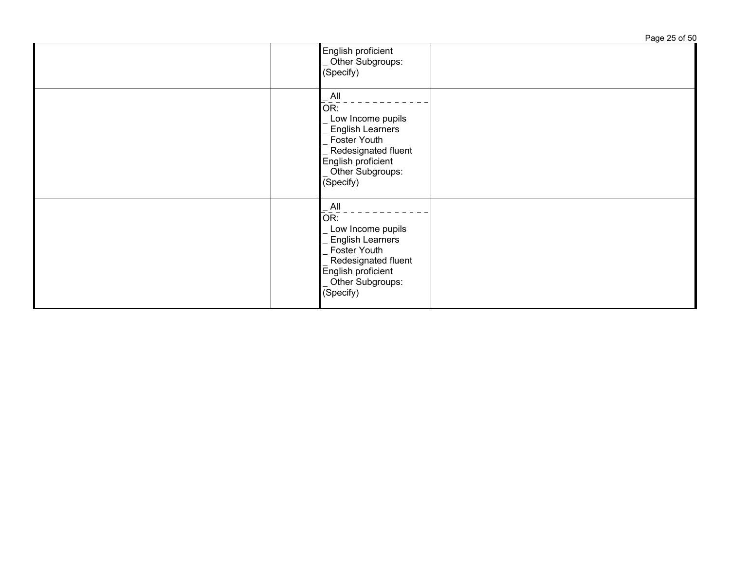Page 25 of 50 English proficient Other Subgroups: (Specify) All OR: \_ Low Income pupils English Learners Foster Youth Redesignated fluent English proficient Other Subgroups: (Specify) All OR: Low Income pupils English Learners Foster Youth Redesignated fluent English proficient Other Subgroups: (Specify)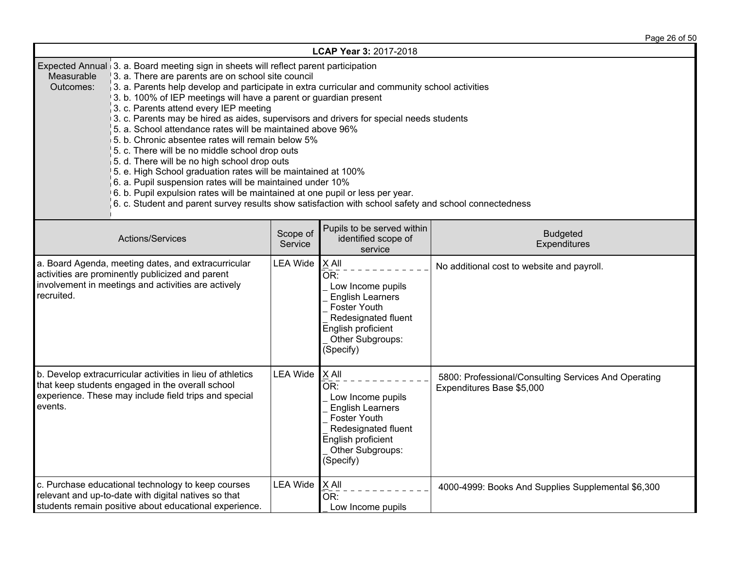Page 26 of 50

| LCAP Year 3: 2017-2018                                                                                                                                                                                                                                                                                                                                                                                                                                                                                                                                                                                                                                                                                                                                                                                                                                                                                                                                                                                                                |                 |                                                                                                                                                                     |                                                                                   |  |  |  |  |
|---------------------------------------------------------------------------------------------------------------------------------------------------------------------------------------------------------------------------------------------------------------------------------------------------------------------------------------------------------------------------------------------------------------------------------------------------------------------------------------------------------------------------------------------------------------------------------------------------------------------------------------------------------------------------------------------------------------------------------------------------------------------------------------------------------------------------------------------------------------------------------------------------------------------------------------------------------------------------------------------------------------------------------------|-----------------|---------------------------------------------------------------------------------------------------------------------------------------------------------------------|-----------------------------------------------------------------------------------|--|--|--|--|
| Expected Annual 3. a. Board meeting sign in sheets will reflect parent participation<br>Measurable<br>3. a. There are parents are on school site council<br>Outcomes:<br>$\beta$ . a. Parents help develop and participate in extra curricular and community school activities<br>3. b. 100% of IEP meetings will have a parent or guardian present<br>3. c. Parents attend every IEP meeting<br>3. c. Parents may be hired as aides, supervisors and drivers for special needs students<br>5. a. School attendance rates will be maintained above 96%<br>5. b. Chronic absentee rates will remain below 5%<br>5. c. There will be no middle school drop outs<br>5. d. There will be no high school drop outs<br>5. e. High School graduation rates will be maintained at 100%<br>6. a. Pupil suspension rates will be maintained under 10%<br>6. b. Pupil expulsion rates will be maintained at one pupil or less per year.<br>6. c. Student and parent survey results show satisfaction with school safety and school connectedness |                 |                                                                                                                                                                     |                                                                                   |  |  |  |  |
| Pupils to be served within<br>Scope of<br><b>Budgeted</b><br>Actions/Services<br>identified scope of<br>Service<br>Expenditures<br>service                                                                                                                                                                                                                                                                                                                                                                                                                                                                                                                                                                                                                                                                                                                                                                                                                                                                                            |                 |                                                                                                                                                                     |                                                                                   |  |  |  |  |
| a. Board Agenda, meeting dates, and extracurricular<br>activities are prominently publicized and parent<br>involvement in meetings and activities are actively<br>recruited.                                                                                                                                                                                                                                                                                                                                                                                                                                                                                                                                                                                                                                                                                                                                                                                                                                                          | <b>LEA Wide</b> | X All<br>OR:<br>Low Income pupils<br><b>English Learners</b><br>Foster Youth<br>Redesignated fluent<br>English proficient<br>Other Subgroups:<br>(Specify)          | No additional cost to website and payroll.                                        |  |  |  |  |
| b. Develop extracurricular activities in lieu of athletics<br><b>LEA Wide</b><br>that keep students engaged in the overall school<br>experience. These may include field trips and special<br>events.                                                                                                                                                                                                                                                                                                                                                                                                                                                                                                                                                                                                                                                                                                                                                                                                                                 |                 | $X$ All<br>OR:<br>Low Income pupils<br><b>English Learners</b><br><b>Foster Youth</b><br>Redesignated fluent<br>English proficient<br>Other Subgroups:<br>(Specify) | 5800: Professional/Consulting Services And Operating<br>Expenditures Base \$5,000 |  |  |  |  |
| c. Purchase educational technology to keep courses<br>relevant and up-to-date with digital natives so that<br>students remain positive about educational experience.                                                                                                                                                                                                                                                                                                                                                                                                                                                                                                                                                                                                                                                                                                                                                                                                                                                                  | <b>LEA Wide</b> | $\underline{X}$ All<br>OR:<br>Low Income pupils                                                                                                                     | 4000-4999: Books And Supplies Supplemental \$6,300                                |  |  |  |  |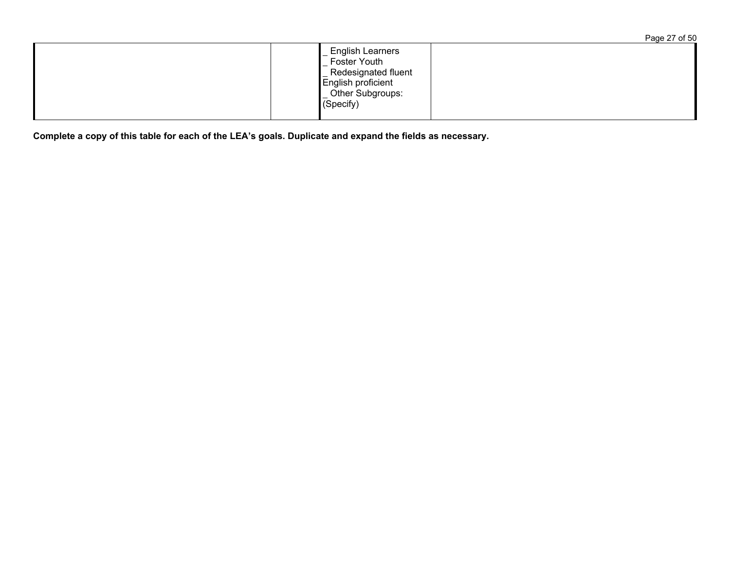Page 27 of 50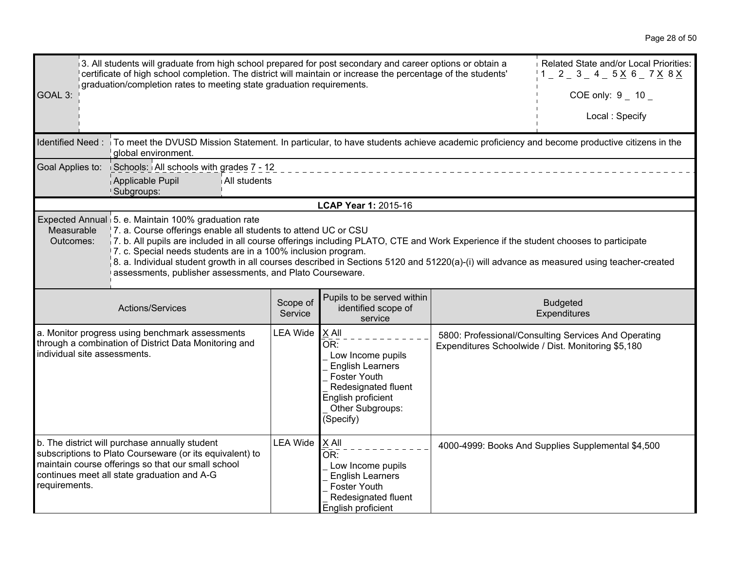|                              | 3. All students will graduate from high school prepared for post secondary and career options or obtain a                                                                                                                                                                                                                                                                                                                                                                                                                                |                                                                                                               |                                                  |                                                                                                                                                                   |  | Related State and/or Local Priorities:                                                                     |
|------------------------------|------------------------------------------------------------------------------------------------------------------------------------------------------------------------------------------------------------------------------------------------------------------------------------------------------------------------------------------------------------------------------------------------------------------------------------------------------------------------------------------------------------------------------------------|---------------------------------------------------------------------------------------------------------------|--------------------------------------------------|-------------------------------------------------------------------------------------------------------------------------------------------------------------------|--|------------------------------------------------------------------------------------------------------------|
|                              |                                                                                                                                                                                                                                                                                                                                                                                                                                                                                                                                          | certificate of high school completion. The district will maintain or increase the percentage of the students' | $1 - 2 - 3 - 4 - 5 \times 6 - 7 \times 8 \times$ |                                                                                                                                                                   |  |                                                                                                            |
| GOAL 3:                      | graduation/completion rates to meeting state graduation requirements.                                                                                                                                                                                                                                                                                                                                                                                                                                                                    |                                                                                                               |                                                  | COE only: $9 - 10$                                                                                                                                                |  |                                                                                                            |
|                              |                                                                                                                                                                                                                                                                                                                                                                                                                                                                                                                                          |                                                                                                               |                                                  |                                                                                                                                                                   |  | Local: Specify                                                                                             |
|                              | Identified Need: To meet the DVUSD Mission Statement. In particular, to have students achieve academic proficiency and become productive citizens in the<br>global environment.                                                                                                                                                                                                                                                                                                                                                          |                                                                                                               |                                                  |                                                                                                                                                                   |  |                                                                                                            |
|                              |                                                                                                                                                                                                                                                                                                                                                                                                                                                                                                                                          | Goal Applies to: Schools: All schools with grades 7 - 12                                                      |                                                  |                                                                                                                                                                   |  |                                                                                                            |
|                              |                                                                                                                                                                                                                                                                                                                                                                                                                                                                                                                                          | Applicable Pupil<br>All students<br>Subgroups:                                                                |                                                  |                                                                                                                                                                   |  |                                                                                                            |
|                              |                                                                                                                                                                                                                                                                                                                                                                                                                                                                                                                                          |                                                                                                               |                                                  | LCAP Year 1: 2015-16                                                                                                                                              |  |                                                                                                            |
| Measurable<br>Outcomes:      | Expected Annual 5. e. Maintain 100% graduation rate<br>7. a. Course offerings enable all students to attend UC or CSU<br>7. b. All pupils are included in all course offerings including PLATO, CTE and Work Experience if the student chooses to participate<br>7. c. Special needs students are in a 100% inclusion program.<br>8. a. Individual student growth in all courses described in Sections 5120 and 51220(a)-(i) will advance as measured using teacher-created<br>assessments, publisher assessments, and Plato Courseware. |                                                                                                               |                                                  |                                                                                                                                                                   |  |                                                                                                            |
|                              |                                                                                                                                                                                                                                                                                                                                                                                                                                                                                                                                          |                                                                                                               |                                                  |                                                                                                                                                                   |  |                                                                                                            |
|                              |                                                                                                                                                                                                                                                                                                                                                                                                                                                                                                                                          | Actions/Services                                                                                              | Scope of<br>Service                              | Pupils to be served within<br>identified scope of<br>service                                                                                                      |  | <b>Budgeted</b><br>Expenditures                                                                            |
| individual site assessments. |                                                                                                                                                                                                                                                                                                                                                                                                                                                                                                                                          | a. Monitor progress using benchmark assessments<br>through a combination of District Data Monitoring and      | <b>LEA Wide</b>                                  | X All<br>OR:<br>Low Income pupils<br><b>English Learners</b><br><b>Foster Youth</b><br>Redesignated fluent<br>English proficient<br>Other Subgroups:<br>(Specify) |  | 5800: Professional/Consulting Services And Operating<br>Expenditures Schoolwide / Dist. Monitoring \$5,180 |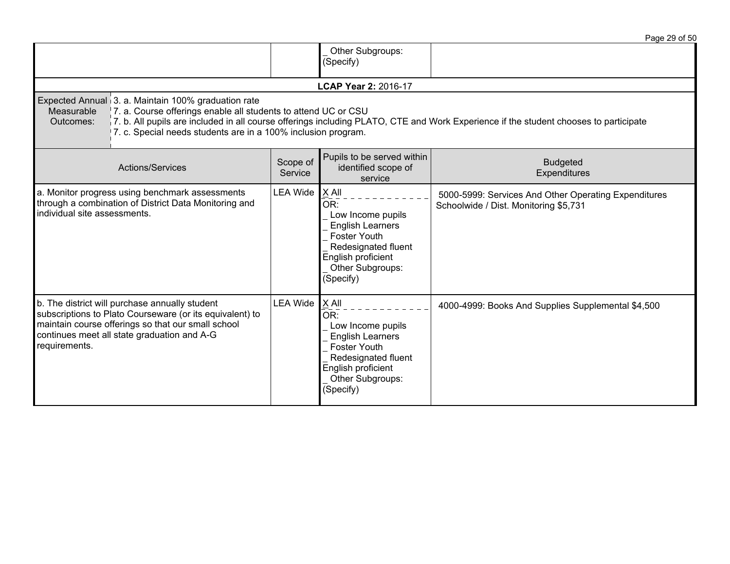|                                                                                                                                                                                                                                  |                     |                                                                                                                                                                   | Page 29 of 50                                                                                                                        |
|----------------------------------------------------------------------------------------------------------------------------------------------------------------------------------------------------------------------------------|---------------------|-------------------------------------------------------------------------------------------------------------------------------------------------------------------|--------------------------------------------------------------------------------------------------------------------------------------|
|                                                                                                                                                                                                                                  |                     | Other Subgroups:<br>(Specify)                                                                                                                                     |                                                                                                                                      |
|                                                                                                                                                                                                                                  |                     | <b>LCAP Year 2: 2016-17</b>                                                                                                                                       |                                                                                                                                      |
| Expected Annual 3. a. Maintain 100% graduation rate<br>Measurable<br>7. a. Course offerings enable all students to attend UC or CSU<br>Outcomes:<br>7. c. Special needs students are in a 100% inclusion program.                |                     |                                                                                                                                                                   | 7. b. All pupils are included in all course offerings including PLATO, CTE and Work Experience if the student chooses to participate |
| <b>Actions/Services</b>                                                                                                                                                                                                          | Scope of<br>Service | Pupils to be served within<br>identified scope of<br>service                                                                                                      | <b>Budgeted</b><br>Expenditures                                                                                                      |
| a. Monitor progress using benchmark assessments<br>through a combination of District Data Monitoring and<br>individual site assessments.                                                                                         | <b>LEA Wide</b>     | X All<br>OR:<br>Low Income pupils<br><b>English Learners</b><br><b>Foster Youth</b><br>Redesignated fluent<br>English proficient<br>Other Subgroups:<br>(Specify) | 5000-5999: Services And Other Operating Expenditures<br>Schoolwide / Dist. Monitoring \$5,731                                        |
| b. The district will purchase annually student<br>subscriptions to Plato Courseware (or its equivalent) to<br>maintain course offerings so that our small school<br>continues meet all state graduation and A-G<br>requirements. | <b>LEA Wide</b>     | X All<br>OR:<br>Low Income pupils<br><b>English Learners</b><br><b>Foster Youth</b><br>Redesignated fluent<br>English proficient<br>Other Subgroups:<br>(Specify) | 4000-4999: Books And Supplies Supplemental \$4,500                                                                                   |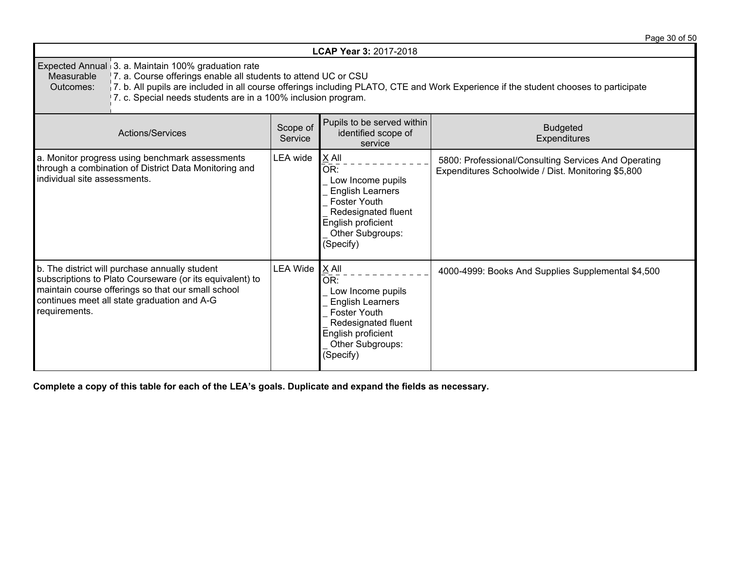|                                                                                                                                                                                                                                                                                                                                                           |                     |                                                                                                                                                                   | Page 30 of 50                                                                                              |  |  |
|-----------------------------------------------------------------------------------------------------------------------------------------------------------------------------------------------------------------------------------------------------------------------------------------------------------------------------------------------------------|---------------------|-------------------------------------------------------------------------------------------------------------------------------------------------------------------|------------------------------------------------------------------------------------------------------------|--|--|
|                                                                                                                                                                                                                                                                                                                                                           |                     | <b>LCAP Year 3: 2017-2018</b>                                                                                                                                     |                                                                                                            |  |  |
| Expected Annual 3. a. Maintain 100% graduation rate<br>7. a. Course offerings enable all students to attend UC or CSU<br>Measurable<br>7. b. All pupils are included in all course offerings including PLATO, CTE and Work Experience if the student chooses to participate<br>Outcomes:<br>7. c. Special needs students are in a 100% inclusion program. |                     |                                                                                                                                                                   |                                                                                                            |  |  |
| <b>Actions/Services</b>                                                                                                                                                                                                                                                                                                                                   | Scope of<br>Service | Pupils to be served within<br>identified scope of<br>service                                                                                                      | <b>Budgeted</b><br><b>Expenditures</b>                                                                     |  |  |
| LEA wide<br>a. Monitor progress using benchmark assessments<br>through a combination of District Data Monitoring and<br>individual site assessments.                                                                                                                                                                                                      |                     | X All<br>OR:<br>Low Income pupils<br><b>English Learners</b><br><b>Foster Youth</b><br>Redesignated fluent<br>English proficient<br>Other Subgroups:<br>(Specify) | 5800: Professional/Consulting Services And Operating<br>Expenditures Schoolwide / Dist. Monitoring \$5,800 |  |  |
| b. The district will purchase annually student<br>subscriptions to Plato Courseware (or its equivalent) to<br>maintain course offerings so that our small school<br>continues meet all state graduation and A-G<br>requirements.                                                                                                                          | <b>LEA Wide</b>     | X All<br>OR:<br>Low Income pupils<br><b>English Learners</b><br><b>Foster Youth</b><br>Redesignated fluent<br>English proficient<br>Other Subgroups:<br>(Specify) | 4000-4999: Books And Supplies Supplemental \$4,500                                                         |  |  |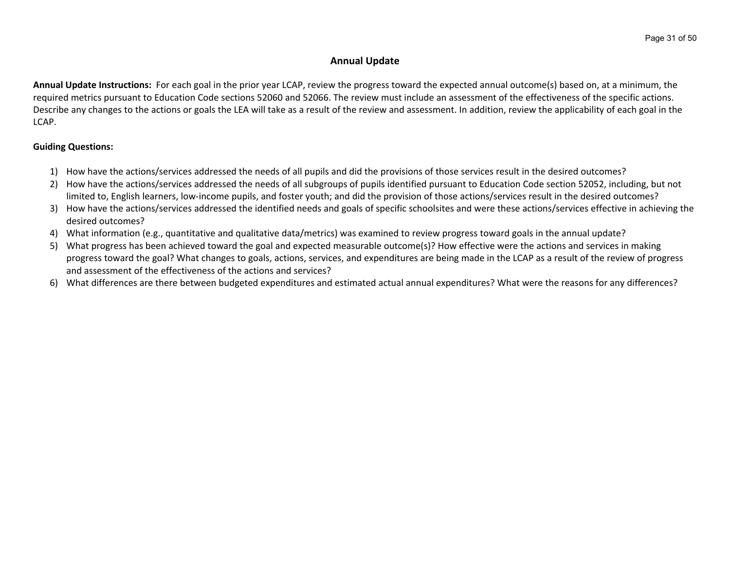# **Annual Update**

**Annual Update Instructions:** For each goal in the prior year LCAP, review the progress toward the expected annual outcome(s) based on, at a minimum, the required metrics pursuant to Education Code sections 52060 and 52066. The review must include an assessment of the effectiveness of the specific actions. Describe any changes to the actions or goals the LEA will take as a result of the review and assessment. In addition, review the applicability of each goal in the LCAP.

# **Guiding Questions:**

- 1) How have the actions/services addressed the needs of all pupils and did the provisions of those services result in the desired outcomes?
- 2) How have the actions/services addressed the needs of all subgroups of pupils identified pursuant to Education Code section 52052, including, but not limited to, English learners, low-income pupils, and foster youth; and did the provision of those actions/services result in the desired outcomes?
- 3) How have the actions/services addressed the identified needs and goals of specific schoolsites and were these actions/services effective in achieving the desired outcomes?
- 4) What information (e.g., quantitative and qualitative data/metrics) was examined to review progress toward goals in the annual update?
- 5) What progress has been achieved toward the goal and expected measurable outcome(s)? How effective were the actions and services in making progress toward the goal? What changes to goals, actions, services, and expenditures are being made in the LCAP as a result of the review of progress and assessment of the effectiveness of the actions and services?
- 6) What differences are there between budgeted expenditures and estimated actual annual expenditures? What were the reasons for any differences?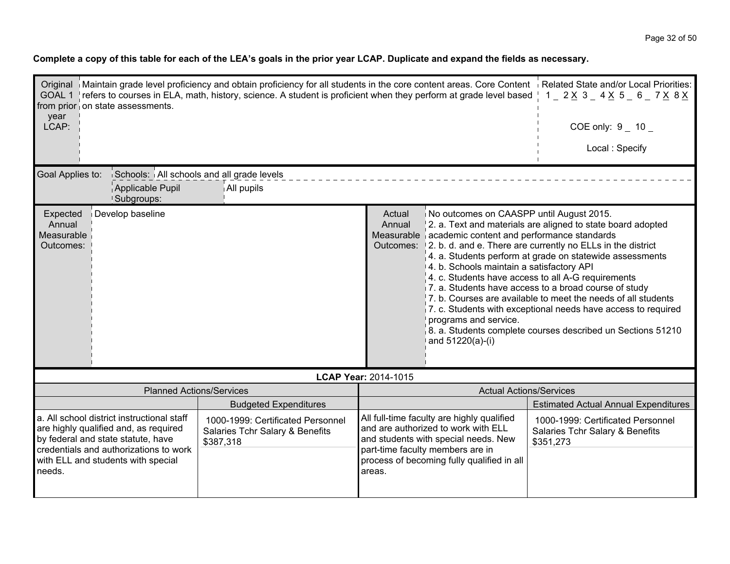| year                                                                                                                                                                                                                                                                                                     | Original   Maintain grade level proficiency and obtain proficiency for all students in the core content areas. Core Content   Related State and/or Local Priorities:<br>GOAL 1   refers to courses in ELA, math, history, science. A student is proficient when they perform at grade level based   1 _ 2 $\times$ 3 _ 4 $\times$ 5 _ 6 _ 7 $\times$ 8 $\times$<br>from prior on state assessments.                                                                                                                                                                                                                                                                                                                                                                                                             |                                                                                                                                                                                                                                    |                      |                                                                      |                                             |  |  |
|----------------------------------------------------------------------------------------------------------------------------------------------------------------------------------------------------------------------------------------------------------------------------------------------------------|-----------------------------------------------------------------------------------------------------------------------------------------------------------------------------------------------------------------------------------------------------------------------------------------------------------------------------------------------------------------------------------------------------------------------------------------------------------------------------------------------------------------------------------------------------------------------------------------------------------------------------------------------------------------------------------------------------------------------------------------------------------------------------------------------------------------|------------------------------------------------------------------------------------------------------------------------------------------------------------------------------------------------------------------------------------|----------------------|----------------------------------------------------------------------|---------------------------------------------|--|--|
| LCAP:                                                                                                                                                                                                                                                                                                    |                                                                                                                                                                                                                                                                                                                                                                                                                                                                                                                                                                                                                                                                                                                                                                                                                 |                                                                                                                                                                                                                                    |                      |                                                                      | COE only: $9 - 10 -$                        |  |  |
|                                                                                                                                                                                                                                                                                                          |                                                                                                                                                                                                                                                                                                                                                                                                                                                                                                                                                                                                                                                                                                                                                                                                                 |                                                                                                                                                                                                                                    |                      |                                                                      | Local: Specify                              |  |  |
| Goal Applies to:                                                                                                                                                                                                                                                                                         | Schools: All schools and all grade levels<br>Applicable Pupil<br><b>Subgroups:</b>                                                                                                                                                                                                                                                                                                                                                                                                                                                                                                                                                                                                                                                                                                                              | All pupils                                                                                                                                                                                                                         |                      |                                                                      |                                             |  |  |
| Annual                                                                                                                                                                                                                                                                                                   | Develop baseline<br>No outcomes on CAASPP until August 2015.<br>Expected<br>Actual<br>2. a. Text and materials are aligned to state board adopted<br>Annual<br>Measurable academic content and performance standards<br>Measurable<br>Outcomes: 12, b. d. and e. There are currently no ELLs in the district<br>Outcomes:<br>$\vert$ 4. a. Students perform at grade on statewide assessments<br>4. b. Schools maintain a satisfactory API<br>4. c. Students have access to all A-G requirements<br>7. a. Students have access to a broad course of study<br>$\vert$ 7, b. Courses are available to meet the needs of all students<br>7. c. Students with exceptional needs have access to required<br>programs and service.<br>8. a. Students complete courses described un Sections 51210<br>and 51220(a)-(i) |                                                                                                                                                                                                                                    |                      |                                                                      |                                             |  |  |
|                                                                                                                                                                                                                                                                                                          |                                                                                                                                                                                                                                                                                                                                                                                                                                                                                                                                                                                                                                                                                                                                                                                                                 |                                                                                                                                                                                                                                    | LCAP Year: 2014-1015 |                                                                      |                                             |  |  |
|                                                                                                                                                                                                                                                                                                          | <b>Planned Actions/Services</b>                                                                                                                                                                                                                                                                                                                                                                                                                                                                                                                                                                                                                                                                                                                                                                                 |                                                                                                                                                                                                                                    |                      | <b>Actual Actions/Services</b>                                       |                                             |  |  |
|                                                                                                                                                                                                                                                                                                          |                                                                                                                                                                                                                                                                                                                                                                                                                                                                                                                                                                                                                                                                                                                                                                                                                 | <b>Budgeted Expenditures</b>                                                                                                                                                                                                       |                      |                                                                      | <b>Estimated Actual Annual Expenditures</b> |  |  |
| a. All school district instructional staff<br>1000-1999: Certificated Personnel<br>are highly qualified and, as required<br>Salaries Tchr Salary & Benefits<br>by federal and state statute, have<br>\$387,318<br>credentials and authorizations to work<br>with ELL and students with special<br>needs. |                                                                                                                                                                                                                                                                                                                                                                                                                                                                                                                                                                                                                                                                                                                                                                                                                 | All full-time faculty are highly qualified<br>and are authorized to work with ELL<br>and students with special needs. New<br>\$351,273<br>part-time faculty members are in<br>process of becoming fully qualified in all<br>areas. |                      | 1000-1999: Certificated Personnel<br>Salaries Tchr Salary & Benefits |                                             |  |  |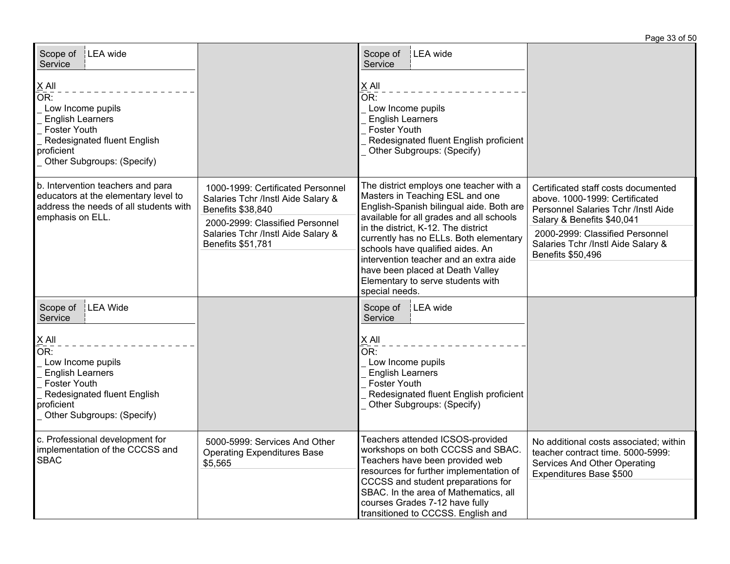| Scope of   LEA wide<br>Service                                                                                                                                   |                                                                                                                                 | Scope of<br>LEA wide<br>Service                                                                                                                                                                                                                                                                            |                                                                                                                                            |
|------------------------------------------------------------------------------------------------------------------------------------------------------------------|---------------------------------------------------------------------------------------------------------------------------------|------------------------------------------------------------------------------------------------------------------------------------------------------------------------------------------------------------------------------------------------------------------------------------------------------------|--------------------------------------------------------------------------------------------------------------------------------------------|
| $X$ All<br>OR:<br>Low Income pupils<br><b>English Learners</b><br><b>Foster Youth</b><br>Redesignated fluent English<br>proficient<br>Other Subgroups: (Specify) |                                                                                                                                 | $\underline{X}$ All<br>OR:<br>Low Income pupils<br><b>English Learners</b><br><b>Foster Youth</b><br>Redesignated fluent English proficient<br>Other Subgroups: (Specify)                                                                                                                                  |                                                                                                                                            |
| b. Intervention teachers and para<br>educators at the elementary level to<br>address the needs of all students with<br>emphasis on ELL.                          | 1000-1999: Certificated Personnel<br>Salaries Tchr /Instl Aide Salary &<br>Benefits \$38,840<br>2000-2999: Classified Personnel | The district employs one teacher with a<br>Masters in Teaching ESL and one<br>English-Spanish bilingual aide. Both are<br>available for all grades and all schools                                                                                                                                         | Certificated staff costs documented<br>above. 1000-1999: Certificated<br>Personnel Salaries Tchr /Instl Aide<br>Salary & Benefits \$40,041 |
|                                                                                                                                                                  | Salaries Tchr /Instl Aide Salary &<br>Benefits \$51,781                                                                         | in the district, K-12. The district<br>currently has no ELLs. Both elementary<br>schools have qualified aides. An                                                                                                                                                                                          | 2000-2999: Classified Personnel<br>Salaries Tchr /Instl Aide Salary &<br>Benefits \$50,496                                                 |
|                                                                                                                                                                  |                                                                                                                                 | intervention teacher and an extra aide<br>have been placed at Death Valley<br>Elementary to serve students with<br>special needs.                                                                                                                                                                          |                                                                                                                                            |
| LEA Wide<br>Scope of<br>Service                                                                                                                                  |                                                                                                                                 | Scope of<br>LEA wide<br>Service                                                                                                                                                                                                                                                                            |                                                                                                                                            |
| $X$ All<br>OR:<br>Low Income pupils<br><b>English Learners</b><br><b>Foster Youth</b><br>Redesignated fluent English<br>proficient<br>Other Subgroups: (Specify) |                                                                                                                                 | $X$ All<br>$\overline{\mathsf{OR}}$ :<br>Low Income pupils<br><b>English Learners</b><br><b>Foster Youth</b><br>Redesignated fluent English proficient<br>Other Subgroups: (Specify)                                                                                                                       |                                                                                                                                            |
| c. Professional development for<br>implementation of the CCCSS and<br><b>SBAC</b>                                                                                | 5000-5999: Services And Other<br><b>Operating Expenditures Base</b><br>\$5,565                                                  | Teachers attended ICSOS-provided<br>workshops on both CCCSS and SBAC.<br>Teachers have been provided web<br>resources for further implementation of<br>CCCSS and student preparations for<br>SBAC. In the area of Mathematics, all<br>courses Grades 7-12 have fully<br>transitioned to CCCSS. English and | No additional costs associated; within<br>teacher contract time. 5000-5999:<br>Services And Other Operating<br>Expenditures Base \$500     |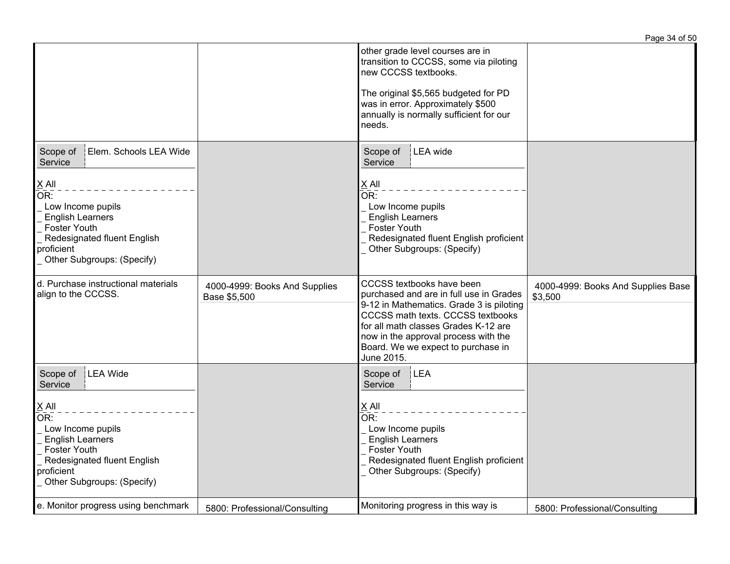|                                                                                                                                                                                                                   |                                               |                                                                                                                                                                                                                                                                                           | Page 34 of 50                                 |
|-------------------------------------------------------------------------------------------------------------------------------------------------------------------------------------------------------------------|-----------------------------------------------|-------------------------------------------------------------------------------------------------------------------------------------------------------------------------------------------------------------------------------------------------------------------------------------------|-----------------------------------------------|
|                                                                                                                                                                                                                   |                                               | other grade level courses are in<br>transition to CCCSS, some via piloting<br>new CCCSS textbooks.<br>The original \$5,565 budgeted for PD<br>was in error. Approximately \$500<br>annually is normally sufficient for our<br>needs.                                                      |                                               |
| Elem. Schools LEA Wide<br>Scope of<br>Service<br>$X$ All<br>OR:<br>Low Income pupils<br><b>English Learners</b><br><b>Foster Youth</b><br>Redesignated fluent English<br>proficient<br>Other Subgroups: (Specify) |                                               | LEA wide<br>Scope of<br>Service<br>X All<br>OR:<br>Low Income pupils<br><b>English Learners</b><br><b>Foster Youth</b><br>Redesignated fluent English proficient<br>Other Subgroups: (Specify)                                                                                            |                                               |
| d. Purchase instructional materials<br>align to the CCCSS.                                                                                                                                                        | 4000-4999: Books And Supplies<br>Base \$5,500 | CCCSS textbooks have been<br>purchased and are in full use in Grades<br>9-12 in Mathematics. Grade 3 is piloting<br>CCCSS math texts. CCCSS textbooks<br>for all math classes Grades K-12 are<br>now in the approval process with the<br>Board. We we expect to purchase in<br>June 2015. | 4000-4999: Books And Supplies Base<br>\$3,500 |
| Scope of<br>LEA Wide<br>Service<br>$X$ All<br>OR:<br>Low Income pupils<br><b>English Learners</b><br><b>Foster Youth</b><br>Redesignated fluent English<br>proficient<br>Other Subgroups: (Specify)               |                                               | Scope of<br><b>LEA</b><br>Service<br>$X$ All<br>OR:<br>Low Income pupils<br><b>English Learners</b><br><b>Foster Youth</b><br>Redesignated fluent English proficient<br>Other Subgroups: (Specify)                                                                                        |                                               |
| e. Monitor progress using benchmark                                                                                                                                                                               | 5800: Professional/Consulting                 | Monitoring progress in this way is                                                                                                                                                                                                                                                        | 5800: Professional/Consulting                 |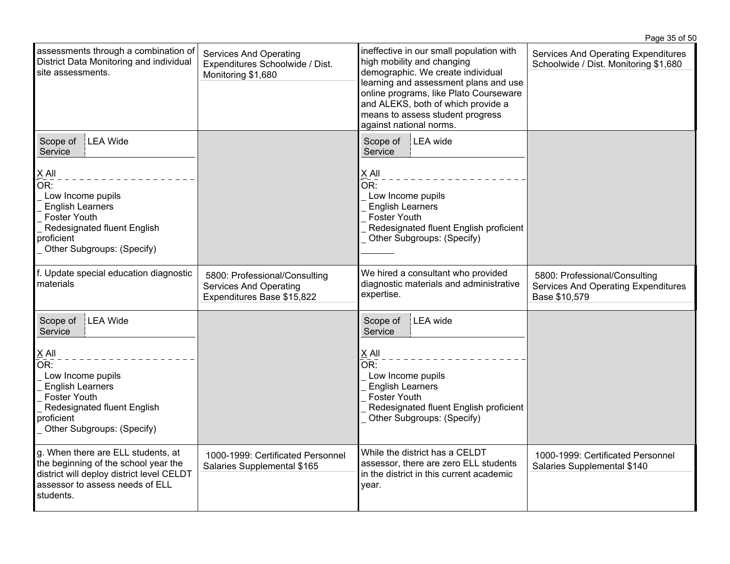|                                                                                                                                                                                                                     |                                                                                              |                                                                                                                                                                                                                                                                                                     | Page 35 of 50                                                                                |
|---------------------------------------------------------------------------------------------------------------------------------------------------------------------------------------------------------------------|----------------------------------------------------------------------------------------------|-----------------------------------------------------------------------------------------------------------------------------------------------------------------------------------------------------------------------------------------------------------------------------------------------------|----------------------------------------------------------------------------------------------|
| assessments through a combination of<br>District Data Monitoring and individual<br>site assessments.                                                                                                                | <b>Services And Operating</b><br>Expenditures Schoolwide / Dist.<br>Monitoring \$1,680       | ineffective in our small population with<br>high mobility and changing<br>demographic. We create individual<br>learning and assessment plans and use<br>online programs, like Plato Courseware<br>and ALEKS, both of which provide a<br>means to assess student progress<br>against national norms. | Services And Operating Expenditures<br>Schoolwide / Dist. Monitoring \$1,680                 |
| LEA Wide<br>Scope of<br>Service<br>$X$ All<br>OR:<br>Low Income pupils<br><b>English Learners</b><br>Foster Youth<br>Redesignated fluent English<br>proficient<br>Other Subgroups: (Specify)                        |                                                                                              | LEA wide<br>Scope of<br>Service<br>X All<br>OR:<br>Low Income pupils<br><b>English Learners</b><br>Foster Youth<br>Redesignated fluent English proficient<br>Other Subgroups: (Specify)                                                                                                             |                                                                                              |
| f. Update special education diagnostic<br>materials                                                                                                                                                                 | 5800: Professional/Consulting<br><b>Services And Operating</b><br>Expenditures Base \$15,822 | We hired a consultant who provided<br>diagnostic materials and administrative<br>expertise.                                                                                                                                                                                                         | 5800: Professional/Consulting<br><b>Services And Operating Expenditures</b><br>Base \$10,579 |
| LEA Wide<br>Scope of<br>Service<br>$X$ All<br>$\overline{\mathsf{OR}}$ :<br>Low Income pupils<br><b>English Learners</b><br>Foster Youth<br>Redesignated fluent English<br>proficient<br>Other Subgroups: (Specify) |                                                                                              | LEA wide<br>Scope of<br>Service<br>X All<br>$\overline{OR}$ :<br>Low Income pupils<br><b>English Learners</b><br>Foster Youth<br>Redesignated fluent English proficient<br>Other Subgroups: (Specify)                                                                                               |                                                                                              |
| g. When there are ELL students, at<br>the beginning of the school year the<br>district will deploy district level CELDT<br>assessor to assess needs of ELL<br>students.                                             | 1000-1999: Certificated Personnel<br>Salaries Supplemental \$165                             | While the district has a CELDT<br>assessor, there are zero ELL students<br>in the district in this current academic<br>year.                                                                                                                                                                        | 1000-1999: Certificated Personnel<br>Salaries Supplemental \$140                             |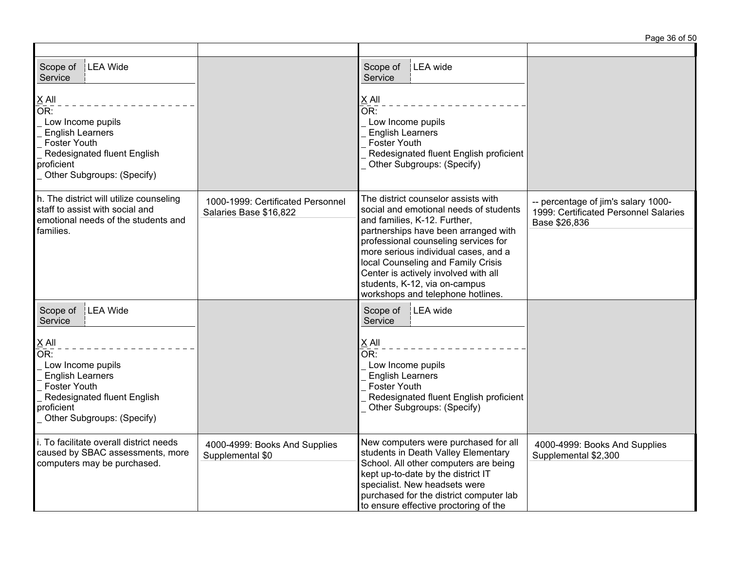| Scope of<br><b>LEA Wide</b><br>Service                                                                                                                                       |                                                             | Scope of<br>LEA wide<br>Service                                                                                                                                                                                                                                                                                                                                                           |                                                                                               |
|------------------------------------------------------------------------------------------------------------------------------------------------------------------------------|-------------------------------------------------------------|-------------------------------------------------------------------------------------------------------------------------------------------------------------------------------------------------------------------------------------------------------------------------------------------------------------------------------------------------------------------------------------------|-----------------------------------------------------------------------------------------------|
| $\underline{X}$ All<br>OR:<br>Low Income pupils<br><b>English Learners</b><br><b>Foster Youth</b><br>Redesignated fluent English<br>proficient<br>Other Subgroups: (Specify) |                                                             | $X$ All<br>OR:<br>Low Income pupils<br><b>English Learners</b><br><b>Foster Youth</b><br>Redesignated fluent English proficient<br>Other Subgroups: (Specify)                                                                                                                                                                                                                             |                                                                                               |
| h. The district will utilize counseling<br>staff to assist with social and<br>emotional needs of the students and<br>families.                                               | 1000-1999: Certificated Personnel<br>Salaries Base \$16,822 | The district counselor assists with<br>social and emotional needs of students<br>and families, K-12. Further,<br>partnerships have been arranged with<br>professional counseling services for<br>more serious individual cases, and a<br>local Counseling and Family Crisis<br>Center is actively involved with all<br>students, K-12, via on-campus<br>workshops and telephone hotlines. | -- percentage of jim's salary 1000-<br>1999: Certificated Personnel Salaries<br>Base \$26,836 |
| LEA Wide<br>Scope of<br>Service                                                                                                                                              |                                                             | Scope of   LEA wide<br>Service                                                                                                                                                                                                                                                                                                                                                            |                                                                                               |
| $X$ All<br>OR<br>Low Income pupils<br><b>English Learners</b><br>Foster Youth<br>Redesignated fluent English<br>proficient<br>Other Subgroups: (Specify)                     |                                                             | $X$ All<br>OR:<br>Low Income pupils<br><b>English Learners</b><br>Foster Youth<br>Redesignated fluent English proficient<br>Other Subgroups: (Specify)                                                                                                                                                                                                                                    |                                                                                               |
| i. To facilitate overall district needs<br>caused by SBAC assessments, more<br>computers may be purchased.                                                                   | 4000-4999: Books And Supplies<br>Supplemental \$0           | New computers were purchased for all<br>students in Death Valley Elementary<br>School. All other computers are being<br>kept up-to-date by the district IT<br>specialist. New headsets were<br>purchased for the district computer lab<br>to ensure effective proctoring of the                                                                                                           | 4000-4999: Books And Supplies<br>Supplemental \$2,300                                         |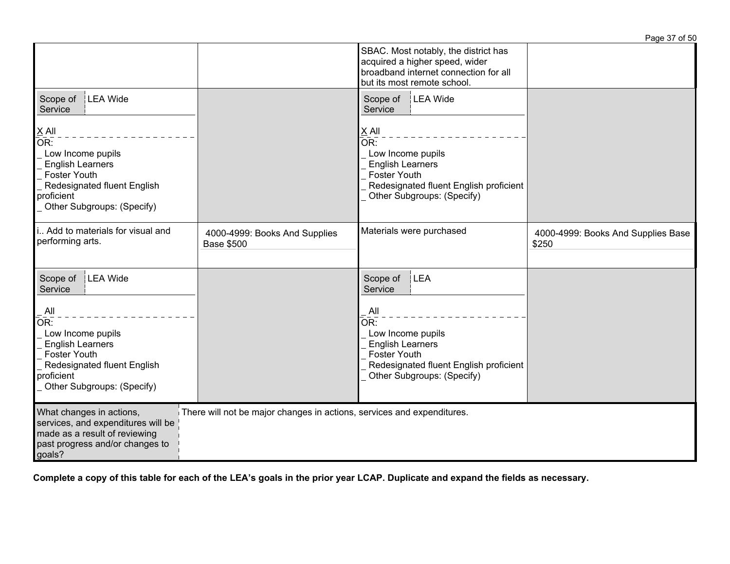|                                                                                                                                                                                                 |                                                                        |                                                                                                                                                                                         | Page 37 of 50                               |
|-------------------------------------------------------------------------------------------------------------------------------------------------------------------------------------------------|------------------------------------------------------------------------|-----------------------------------------------------------------------------------------------------------------------------------------------------------------------------------------|---------------------------------------------|
|                                                                                                                                                                                                 |                                                                        | SBAC. Most notably, the district has<br>acquired a higher speed, wider<br>broadband internet connection for all<br>but its most remote school.                                          |                                             |
| LEA Wide<br>Scope of<br>Service                                                                                                                                                                 |                                                                        | LEA Wide<br>Scope of<br>Service                                                                                                                                                         |                                             |
| $X$ All<br>OR:<br>Low Income pupils<br><b>English Learners</b><br><b>Foster Youth</b><br>Redesignated fluent English<br>proficient<br>Other Subgroups: (Specify)                                |                                                                        | $X$ All<br>OR:<br>Low Income pupils<br><b>English Learners</b><br><b>Foster Youth</b><br>Redesignated fluent English proficient<br>Other Subgroups: (Specify)                           |                                             |
| i Add to materials for visual and<br>performing arts.                                                                                                                                           | 4000-4999: Books And Supplies<br><b>Base \$500</b>                     | Materials were purchased                                                                                                                                                                | 4000-4999: Books And Supplies Base<br>\$250 |
| LEA Wide<br>Scope of<br>Service<br>All<br>OR:<br>Low Income pupils<br><b>English Learners</b><br><b>Foster Youth</b><br>Redesignated fluent English<br>proficient<br>Other Subgroups: (Specify) |                                                                        | LEA<br>Scope of<br>Service<br>All<br>OR:<br>Low Income pupils<br><b>English Learners</b><br><b>Foster Youth</b><br>Redesignated fluent English proficient<br>Other Subgroups: (Specify) |                                             |
| What changes in actions,<br>services, and expenditures will be<br>made as a result of reviewing<br>past progress and/or changes to<br>goals?                                                    | There will not be major changes in actions, services and expenditures. |                                                                                                                                                                                         |                                             |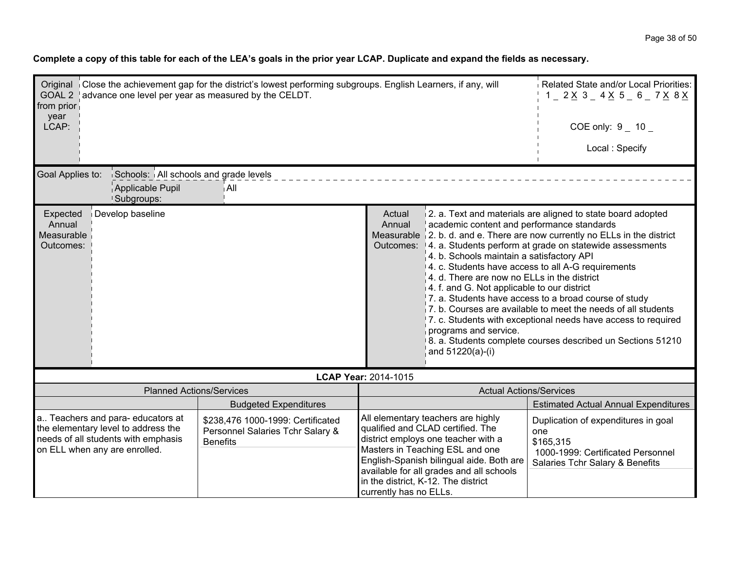| from prior<br>year                            | Original Close the achievement gap for the district's lowest performing subgroups. English Learners, if any, will<br>GOAL 2 advance one level per year as measured by the CELDT. |                                                                                          |                                                                                                                                                                                                                                                                                                                                                                                                                                                                                      | Related State and/or Local Priorities:<br>$1 - 2 \times 3 - 4 \times 5 - 6 - 7 \times 8 \times$                                                                                                                                                                                                                       |
|-----------------------------------------------|----------------------------------------------------------------------------------------------------------------------------------------------------------------------------------|------------------------------------------------------------------------------------------|--------------------------------------------------------------------------------------------------------------------------------------------------------------------------------------------------------------------------------------------------------------------------------------------------------------------------------------------------------------------------------------------------------------------------------------------------------------------------------------|-----------------------------------------------------------------------------------------------------------------------------------------------------------------------------------------------------------------------------------------------------------------------------------------------------------------------|
| LCAP:                                         |                                                                                                                                                                                  |                                                                                          |                                                                                                                                                                                                                                                                                                                                                                                                                                                                                      | $COE$ only: $9$ 10                                                                                                                                                                                                                                                                                                    |
|                                               |                                                                                                                                                                                  |                                                                                          |                                                                                                                                                                                                                                                                                                                                                                                                                                                                                      | Local: Specify                                                                                                                                                                                                                                                                                                        |
| Goal Applies to:                              | Schools: All schools and grade levels<br>Applicable Pupil<br><b>Subgroups:</b>                                                                                                   | i All                                                                                    |                                                                                                                                                                                                                                                                                                                                                                                                                                                                                      |                                                                                                                                                                                                                                                                                                                       |
| Expected<br>Annual<br>Measurable<br>Outcomes: | Develop baseline                                                                                                                                                                 |                                                                                          | Actual<br>academic content and performance standards<br>Annual<br>Measurable $\vert 2$ . b. d. and e. There are now currently no ELLs in the district<br>Outcomes:  4. a. Students perform at grade on statewide assessments<br>$\vert$ 4. b. Schools maintain a satisfactory API<br>4. c. Students have access to all A-G requirements<br>4. d. There are now no ELLs in the district<br>$4.$ f. and G. Not applicable to our district<br>programs and service.<br>and 51220(a)-(i) | 2. a. Text and materials are aligned to state board adopted<br>7. a. Students have access to a broad course of study<br>7. b. Courses are available to meet the needs of all students<br>7. c. Students with exceptional needs have access to required<br>8. a. Students complete courses described un Sections 51210 |
|                                               |                                                                                                                                                                                  |                                                                                          | LCAP Year: 2014-1015                                                                                                                                                                                                                                                                                                                                                                                                                                                                 |                                                                                                                                                                                                                                                                                                                       |
|                                               | <b>Planned Actions/Services</b>                                                                                                                                                  |                                                                                          | <b>Actual Actions/Services</b>                                                                                                                                                                                                                                                                                                                                                                                                                                                       |                                                                                                                                                                                                                                                                                                                       |
|                                               |                                                                                                                                                                                  | <b>Budgeted Expenditures</b>                                                             |                                                                                                                                                                                                                                                                                                                                                                                                                                                                                      | <b>Estimated Actual Annual Expenditures</b>                                                                                                                                                                                                                                                                           |
|                                               | a Teachers and para-educators at<br>the elementary level to address the<br>needs of all students with emphasis<br>on ELL when any are enrolled.                                  | \$238,476 1000-1999: Certificated<br>Personnel Salaries Tchr Salary &<br><b>Benefits</b> | All elementary teachers are highly<br>qualified and CLAD certified. The<br>district employs one teacher with a<br>Masters in Teaching ESL and one<br>English-Spanish bilingual aide. Both are<br>available for all grades and all schools<br>in the district, K-12. The district<br>currently has no ELLs.                                                                                                                                                                           | Duplication of expenditures in goal<br>one<br>\$165,315<br>1000-1999: Certificated Personnel<br>Salaries Tchr Salary & Benefits                                                                                                                                                                                       |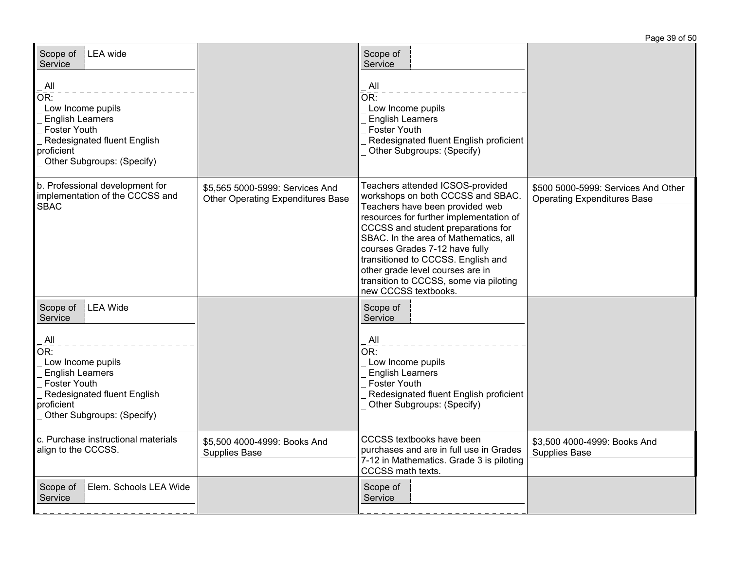| Scope of   LEA wide<br>Service                                                                                                                                          |                                                                             | Scope of<br>Service                                                                                                                                                                                                                                                                                                                                                                                              |                                                                           |
|-------------------------------------------------------------------------------------------------------------------------------------------------------------------------|-----------------------------------------------------------------------------|------------------------------------------------------------------------------------------------------------------------------------------------------------------------------------------------------------------------------------------------------------------------------------------------------------------------------------------------------------------------------------------------------------------|---------------------------------------------------------------------------|
| $\mathsf{All}$<br>OR:<br>Low Income pupils<br><b>English Learners</b><br><b>Foster Youth</b><br>Redesignated fluent English<br>proficient<br>Other Subgroups: (Specify) |                                                                             | $\overline{A}$ ll<br>$\overline{OR}$ :<br>Low Income pupils<br><b>English Learners</b><br><b>Foster Youth</b><br>Redesignated fluent English proficient<br>Other Subgroups: (Specify)                                                                                                                                                                                                                            |                                                                           |
| b. Professional development for<br>implementation of the CCCSS and<br><b>SBAC</b>                                                                                       | \$5,565 5000-5999: Services And<br><b>Other Operating Expenditures Base</b> | Teachers attended ICSOS-provided<br>workshops on both CCCSS and SBAC.<br>Teachers have been provided web<br>resources for further implementation of<br>CCCSS and student preparations for<br>SBAC. In the area of Mathematics, all<br>courses Grades 7-12 have fully<br>transitioned to CCCSS. English and<br>other grade level courses are in<br>transition to CCCSS, some via piloting<br>new CCCSS textbooks. | \$500 5000-5999; Services And Other<br><b>Operating Expenditures Base</b> |
| LEA Wide<br>Scope of<br>Service                                                                                                                                         |                                                                             | Scope of<br>Service                                                                                                                                                                                                                                                                                                                                                                                              |                                                                           |
| All<br>OR:<br>Low Income pupils<br><b>English Learners</b><br><b>Foster Youth</b><br>Redesignated fluent English<br>proficient<br>Other Subgroups: (Specify)            |                                                                             | $\overline{\mathsf{All}}$<br>$\overline{\mathsf{OR}!}$<br>Low Income pupils<br><b>English Learners</b><br><b>Foster Youth</b><br>Redesignated fluent English proficient<br>Other Subgroups: (Specify)                                                                                                                                                                                                            |                                                                           |
| c. Purchase instructional materials<br>align to the CCCSS.                                                                                                              | \$5,500 4000-4999: Books And<br><b>Supplies Base</b>                        | CCCSS textbooks have been<br>purchases and are in full use in Grades<br>7-12 in Mathematics. Grade 3 is piloting<br>CCCSS math texts.                                                                                                                                                                                                                                                                            | \$3,500 4000-4999: Books And<br>Supplies Base                             |
| Scope of<br>Elem. Schools LEA Wide<br>Service                                                                                                                           |                                                                             | Scope of<br>Service                                                                                                                                                                                                                                                                                                                                                                                              |                                                                           |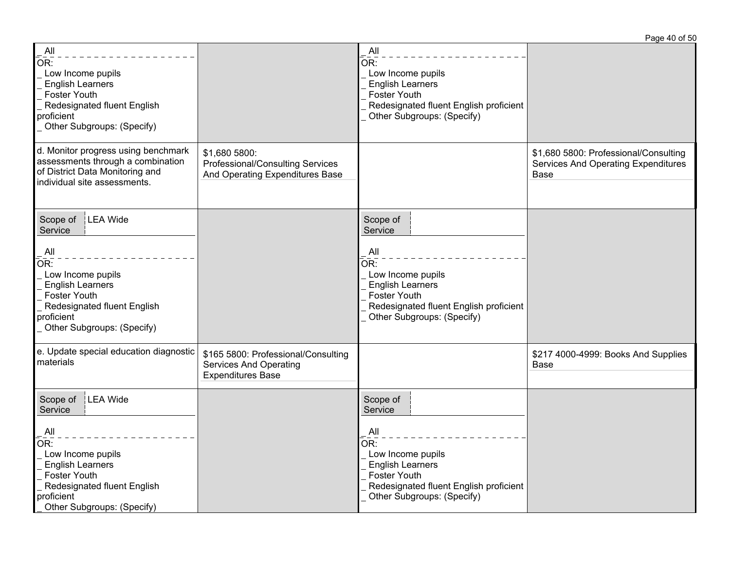All  $\overline{\overline{\mathsf{OR}}}$  . Low Income pupils English Learners Foster Youth Redesignated fluent English proficient Other Subgroups: (Specify) All  $\overline{OR}$ : Low Income pupils English Learners Foster Youth Redesignated fluent English proficient Other Subgroups: (Specify) d. Monitor progress using benchmark assessments through a combination of District Data Monitoring and individual site assessments. \$1,680 5800: Professional/Consulting Services And Operating Expenditures Base \$1,680 5800: Professional/Consulting Services And Operating Expenditures Base Scope of LEA Wide Service All  $\overline{\mathsf{OR}}$ : Low Income pupils English Learners Foster Youth Redesignated fluent English proficient Other Subgroups: (Specify) Scope of **Service**  All  $\overline{OR}$ : Low Income pupils English Learners Foster Youth Redesignated fluent English proficient Other Subgroups: (Specify) e. Update special education diagnostic materials \$165 5800: Professional/Consulting Services And Operating Expenditures Base \$217 4000-4999: Books And Supplies Base Scope of LEA Wide **Service**  All  $\overline{\mathsf{OR}!}$  Low Income pupils English Learners Foster Youth Redesignated fluent English proficient Other Subgroups: (Specify) Scope of **Service**  All  $\overline{OR}$ : Low Income pupils English Learners Foster Youth Redesignated fluent English proficient Other Subgroups: (Specify)

Page 40 of 50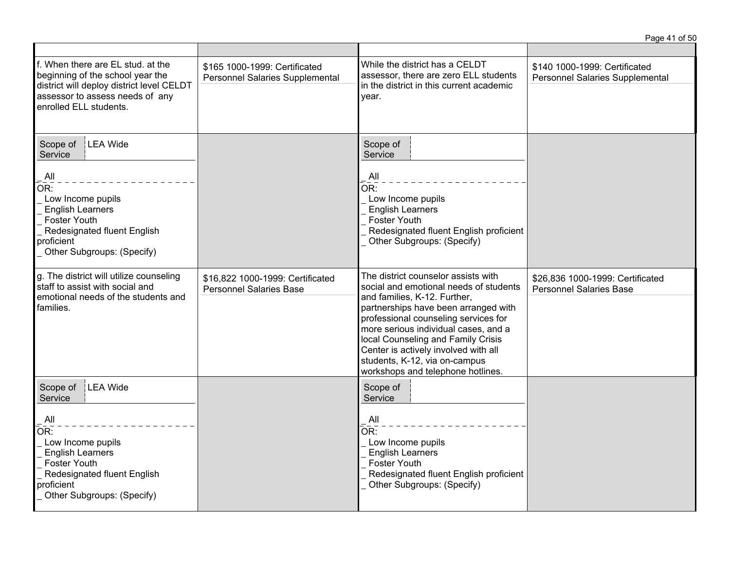|                                                                                                                                                                                          |                                                                    |                                                                                                                                                                                                                                                                                                                                                                                           | Page 41 of 50                                                      |
|------------------------------------------------------------------------------------------------------------------------------------------------------------------------------------------|--------------------------------------------------------------------|-------------------------------------------------------------------------------------------------------------------------------------------------------------------------------------------------------------------------------------------------------------------------------------------------------------------------------------------------------------------------------------------|--------------------------------------------------------------------|
| f. When there are EL stud. at the<br>beginning of the school year the<br>district will deploy district level CELDT<br>assessor to assess needs of any<br>enrolled ELL students.          | \$165 1000-1999: Certificated<br>Personnel Salaries Supplemental   | While the district has a CELDT<br>assessor, there are zero ELL students<br>in the district in this current academic<br>year.                                                                                                                                                                                                                                                              | \$140 1000-1999: Certificated<br>Personnel Salaries Supplemental   |
| LEA Wide<br>Scope of<br>Service<br>All<br>OR:<br>Low Income pupils<br><b>English Learners</b><br>Foster Youth<br>Redesignated fluent English<br>proficient<br>Other Subgroups: (Specify) |                                                                    | Scope of<br>Service<br>All<br>$\overline{\mathsf{OR}}$ :<br>Low Income pupils<br><b>English Learners</b><br><b>Foster Youth</b><br>Redesignated fluent English proficient<br>Other Subgroups: (Specify)                                                                                                                                                                                   |                                                                    |
| g. The district will utilize counseling<br>staff to assist with social and<br>emotional needs of the students and<br>families.                                                           | \$16,822 1000-1999: Certificated<br><b>Personnel Salaries Base</b> | The district counselor assists with<br>social and emotional needs of students<br>and families, K-12. Further,<br>partnerships have been arranged with<br>professional counseling services for<br>more serious individual cases, and a<br>local Counseling and Family Crisis<br>Center is actively involved with all<br>students, K-12, via on-campus<br>workshops and telephone hotlines. | \$26,836 1000-1999: Certificated<br><b>Personnel Salaries Base</b> |
| Scope of<br>LEA Wide<br>Service<br>All<br>OR:<br>Low Income pupils<br><b>English Learners</b><br>Foster Youth<br>Redesignated fluent English<br>proficient<br>Other Subgroups: (Specify) |                                                                    | Scope of<br>Service<br>All<br>OR:<br>Low Income pupils<br><b>English Learners</b><br><b>Foster Youth</b><br>Redesignated fluent English proficient<br>Other Subgroups: (Specify)                                                                                                                                                                                                          |                                                                    |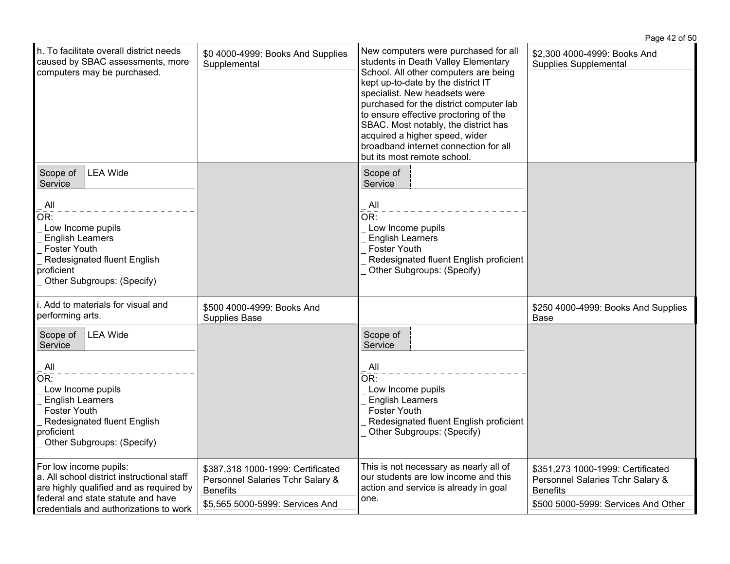|                                                                                                                                                                                                        |                                                                                                                             |                                                                                                                                                                                                                                                                                                                                                                                                                                   | Page 42 of 50                                                                                                                   |
|--------------------------------------------------------------------------------------------------------------------------------------------------------------------------------------------------------|-----------------------------------------------------------------------------------------------------------------------------|-----------------------------------------------------------------------------------------------------------------------------------------------------------------------------------------------------------------------------------------------------------------------------------------------------------------------------------------------------------------------------------------------------------------------------------|---------------------------------------------------------------------------------------------------------------------------------|
| h. To facilitate overall district needs<br>caused by SBAC assessments, more<br>computers may be purchased.                                                                                             | \$0 4000-4999: Books And Supplies<br>Supplemental                                                                           | New computers were purchased for all<br>students in Death Valley Elementary<br>School. All other computers are being<br>kept up-to-date by the district IT<br>specialist. New headsets were<br>purchased for the district computer lab<br>to ensure effective proctoring of the<br>SBAC. Most notably, the district has<br>acquired a higher speed, wider<br>broadband internet connection for all<br>but its most remote school. | \$2,300 4000-4999: Books And<br>Supplies Supplemental                                                                           |
| Scope of<br><b>LEA Wide</b><br>Service<br>All<br>OR:<br>Low Income pupils<br><b>English Learners</b><br><b>Foster Youth</b><br>Redesignated fluent English<br>proficient<br>Other Subgroups: (Specify) |                                                                                                                             | Scope of<br>Service<br>$\overline{A}$ ll<br>OR:<br>Low Income pupils<br><b>English Learners</b><br><b>Foster Youth</b><br>Redesignated fluent English proficient<br>Other Subgroups: (Specify)                                                                                                                                                                                                                                    |                                                                                                                                 |
| i. Add to materials for visual and<br>performing arts.                                                                                                                                                 | \$500 4000-4999: Books And<br>Supplies Base                                                                                 |                                                                                                                                                                                                                                                                                                                                                                                                                                   | \$250 4000-4999: Books And Supplies<br>Base                                                                                     |
| Scope of   LEA Wide<br>Service<br>All<br>OR:<br>Low Income pupils<br><b>English Learners</b><br><b>Foster Youth</b><br>Redesignated fluent English<br>proficient<br>Other Subgroups: (Specify)         |                                                                                                                             | Scope of<br>Service<br>All<br>OR:<br>Low Income pupils<br><b>English Learners</b><br><b>Foster Youth</b><br>Redesignated fluent English proficient<br>Other Subgroups: (Specify)                                                                                                                                                                                                                                                  |                                                                                                                                 |
| For low income pupils:<br>a. All school district instructional staff<br>are highly qualified and as required by<br>federal and state statute and have<br>credentials and authorizations to work        | \$387,318 1000-1999: Certificated<br>Personnel Salaries Tchr Salary &<br><b>Benefits</b><br>\$5,565 5000-5999: Services And | This is not necessary as nearly all of<br>our students are low income and this<br>action and service is already in goal<br>one.                                                                                                                                                                                                                                                                                                   | \$351,273 1000-1999: Certificated<br>Personnel Salaries Tchr Salary &<br><b>Benefits</b><br>\$500 5000-5999: Services And Other |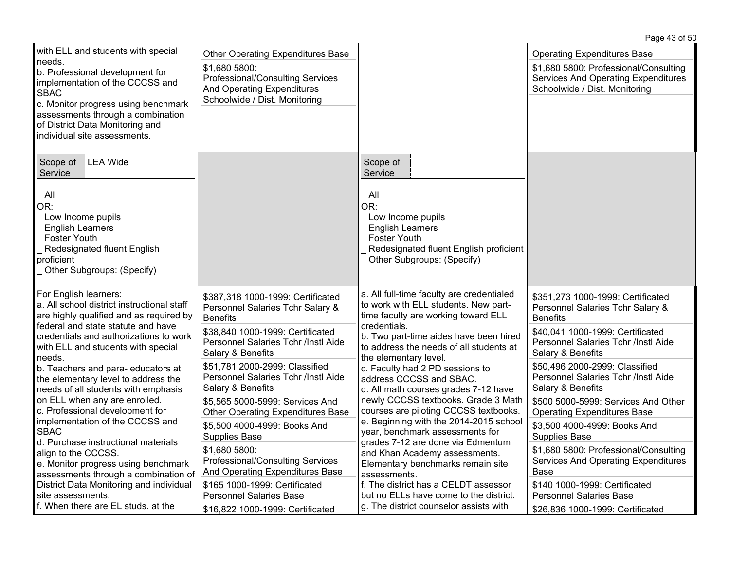|                                                                                                                                                                                                                                                                                                                                                                                                                                                                                                                                                                                                                                       |                                                                                                                                                                                                                                                                                                                                                                                                                                                                                                                       |                                                                                                                                                                                                                                                                                                                                                                                                                                                                                                                                                                                                                                                      | Page 43 of 50                                                                                                                                                                                                                                                                                                                                                                                                                                                                                                       |
|---------------------------------------------------------------------------------------------------------------------------------------------------------------------------------------------------------------------------------------------------------------------------------------------------------------------------------------------------------------------------------------------------------------------------------------------------------------------------------------------------------------------------------------------------------------------------------------------------------------------------------------|-----------------------------------------------------------------------------------------------------------------------------------------------------------------------------------------------------------------------------------------------------------------------------------------------------------------------------------------------------------------------------------------------------------------------------------------------------------------------------------------------------------------------|------------------------------------------------------------------------------------------------------------------------------------------------------------------------------------------------------------------------------------------------------------------------------------------------------------------------------------------------------------------------------------------------------------------------------------------------------------------------------------------------------------------------------------------------------------------------------------------------------------------------------------------------------|---------------------------------------------------------------------------------------------------------------------------------------------------------------------------------------------------------------------------------------------------------------------------------------------------------------------------------------------------------------------------------------------------------------------------------------------------------------------------------------------------------------------|
| with ELL and students with special<br>needs.<br>b. Professional development for<br>implementation of the CCCSS and<br><b>SBAC</b><br>c. Monitor progress using benchmark<br>assessments through a combination<br>of District Data Monitoring and<br>individual site assessments.                                                                                                                                                                                                                                                                                                                                                      | <b>Other Operating Expenditures Base</b><br>\$1,680 5800:<br>Professional/Consulting Services<br>And Operating Expenditures<br>Schoolwide / Dist. Monitoring                                                                                                                                                                                                                                                                                                                                                          |                                                                                                                                                                                                                                                                                                                                                                                                                                                                                                                                                                                                                                                      | <b>Operating Expenditures Base</b><br>\$1,680 5800: Professional/Consulting<br><b>Services And Operating Expenditures</b><br>Schoolwide / Dist. Monitoring                                                                                                                                                                                                                                                                                                                                                          |
| LEA Wide<br>Scope of<br>Service<br>$\mathsf{All}$<br>OR:<br>Low Income pupils<br><b>English Learners</b><br><b>Foster Youth</b><br>Redesignated fluent English<br>proficient<br>Other Subgroups: (Specify)                                                                                                                                                                                                                                                                                                                                                                                                                            |                                                                                                                                                                                                                                                                                                                                                                                                                                                                                                                       | Scope of<br>Service<br>All<br>OR:<br>Low Income pupils<br><b>English Learners</b><br><b>Foster Youth</b><br>Redesignated fluent English proficient<br>Other Subgroups: (Specify)                                                                                                                                                                                                                                                                                                                                                                                                                                                                     |                                                                                                                                                                                                                                                                                                                                                                                                                                                                                                                     |
| For English learners:<br>a. All school district instructional staff<br>are highly qualified and as required by<br>federal and state statute and have<br>credentials and authorizations to work<br>with ELL and students with special<br>needs.<br>b. Teachers and para-educators at<br>the elementary level to address the<br>needs of all students with emphasis<br>on ELL when any are enrolled.<br>c. Professional development for<br>implementation of the CCCSS and<br><b>SBAC</b><br>Id. Purchase instructional materials<br>align to the CCCSS.<br>e. Monitor progress using benchmark<br>assessments through a combination of | \$387,318 1000-1999: Certificated<br>Personnel Salaries Tchr Salary &<br><b>Benefits</b><br>\$38,840 1000-1999: Certificated<br>Personnel Salaries Tchr /Instl Aide<br>Salary & Benefits<br>\$51,781 2000-2999: Classified<br>Personnel Salaries Tchr /Instl Aide<br>Salary & Benefits<br>\$5,565 5000-5999: Services And<br><b>Other Operating Expenditures Base</b><br>\$5,500 4000-4999: Books And<br><b>Supplies Base</b><br>\$1,680 5800:<br>Professional/Consulting Services<br>And Operating Expenditures Base | a. All full-time faculty are credentialed<br>to work with ELL students. New part-<br>time faculty are working toward ELL<br>credentials.<br>b. Two part-time aides have been hired<br>to address the needs of all students at<br>the elementary level.<br>c. Faculty had 2 PD sessions to<br>address CCCSS and SBAC.<br>d. All math courses grades 7-12 have<br>newly CCCSS textbooks. Grade 3 Math<br>courses are piloting CCCSS textbooks.<br>e. Beginning with the 2014-2015 school<br>year, benchmark assessments for<br>grades 7-12 are done via Edmentum<br>and Khan Academy assessments.<br>Elementary benchmarks remain site<br>assessments. | \$351,273 1000-1999: Certificated<br>Personnel Salaries Tchr Salary &<br><b>Benefits</b><br>\$40,041 1000-1999: Certificated<br>Personnel Salaries Tchr /Instl Aide<br>Salary & Benefits<br>\$50,496 2000-2999: Classified<br>Personnel Salaries Tchr /Instl Aide<br>Salary & Benefits<br>\$500 5000-5999: Services And Other<br><b>Operating Expenditures Base</b><br>\$3,500 4000-4999: Books And<br><b>Supplies Base</b><br>\$1,680 5800: Professional/Consulting<br>Services And Operating Expenditures<br>Base |
| District Data Monitoring and individual<br>site assessments.<br>f. When there are EL studs. at the                                                                                                                                                                                                                                                                                                                                                                                                                                                                                                                                    | \$165 1000-1999: Certificated<br><b>Personnel Salaries Base</b><br>\$16,822 1000-1999: Certificated                                                                                                                                                                                                                                                                                                                                                                                                                   | f. The district has a CELDT assessor<br>but no ELLs have come to the district.<br>g. The district counselor assists with                                                                                                                                                                                                                                                                                                                                                                                                                                                                                                                             | \$140 1000-1999: Certificated<br><b>Personnel Salaries Base</b><br>\$26,836 1000-1999: Certificated                                                                                                                                                                                                                                                                                                                                                                                                                 |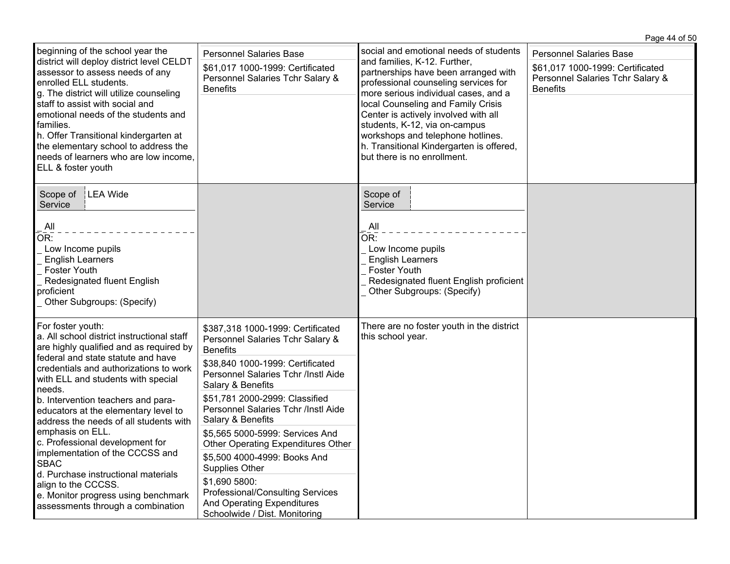|                                                                                                                                                                                                                                                                                                                                                                                                                                                                                                                                                                                                                       |                                                                                                                                                                                                                                                                                                                                                                                                                                                                                                                                              |                                                                                                                                                                                                                                                                                                                                                                                                                               | Page 44 of 50                                                                                                             |
|-----------------------------------------------------------------------------------------------------------------------------------------------------------------------------------------------------------------------------------------------------------------------------------------------------------------------------------------------------------------------------------------------------------------------------------------------------------------------------------------------------------------------------------------------------------------------------------------------------------------------|----------------------------------------------------------------------------------------------------------------------------------------------------------------------------------------------------------------------------------------------------------------------------------------------------------------------------------------------------------------------------------------------------------------------------------------------------------------------------------------------------------------------------------------------|-------------------------------------------------------------------------------------------------------------------------------------------------------------------------------------------------------------------------------------------------------------------------------------------------------------------------------------------------------------------------------------------------------------------------------|---------------------------------------------------------------------------------------------------------------------------|
| beginning of the school year the<br>district will deploy district level CELDT<br>assessor to assess needs of any<br>enrolled ELL students.<br>g. The district will utilize counseling<br>staff to assist with social and<br>emotional needs of the students and<br>families.<br>h. Offer Transitional kindergarten at<br>the elementary school to address the<br>needs of learners who are low income.<br>ELL & foster youth                                                                                                                                                                                          | <b>Personnel Salaries Base</b><br>\$61,017 1000-1999: Certificated<br>Personnel Salaries Tchr Salary &<br><b>Benefits</b>                                                                                                                                                                                                                                                                                                                                                                                                                    | social and emotional needs of students<br>and families, K-12. Further,<br>partnerships have been arranged with<br>professional counseling services for<br>more serious individual cases, and a<br>local Counseling and Family Crisis<br>Center is actively involved with all<br>students, K-12, via on-campus<br>workshops and telephone hotlines.<br>h. Transitional Kindergarten is offered,<br>but there is no enrollment. | <b>Personnel Salaries Base</b><br>\$61,017 1000-1999: Certificated<br>Personnel Salaries Tchr Salary &<br><b>Benefits</b> |
| LEA Wide<br>Scope of<br>Service<br>All<br>OR:<br>Low Income pupils<br><b>English Learners</b><br><b>Foster Youth</b><br>Redesignated fluent English<br>proficient<br>_ Other Subgroups: (Specify)                                                                                                                                                                                                                                                                                                                                                                                                                     |                                                                                                                                                                                                                                                                                                                                                                                                                                                                                                                                              | Scope of<br>Service<br>$\mathsf{All}$<br>OR:<br>Low Income pupils<br><b>English Learners</b><br>Foster Youth<br>Redesignated fluent English proficient<br>Other Subgroups: (Specify)                                                                                                                                                                                                                                          |                                                                                                                           |
| For foster youth:<br>a. All school district instructional staff<br>are highly qualified and as required by<br>federal and state statute and have<br>credentials and authorizations to work<br>with ELL and students with special<br>needs.<br>b. Intervention teachers and para-<br>educators at the elementary level to<br>address the needs of all students with<br>emphasis on ELL.<br>c. Professional development for<br>implementation of the CCCSS and<br><b>SBAC</b><br>d. Purchase instructional materials<br>align to the CCCSS.<br>e. Monitor progress using benchmark<br>assessments through a combination | \$387,318 1000-1999: Certificated<br>Personnel Salaries Tchr Salary &<br><b>Benefits</b><br>\$38,840 1000-1999: Certificated<br>Personnel Salaries Tchr /Instl Aide<br>Salary & Benefits<br>\$51,781 2000-2999: Classified<br>Personnel Salaries Tchr /Instl Aide<br>Salary & Benefits<br>\$5,565 5000-5999: Services And<br>Other Operating Expenditures Other<br>\$5,500 4000-4999: Books And<br>Supplies Other<br>\$1,690 5800:<br>Professional/Consulting Services<br><b>And Operating Expenditures</b><br>Schoolwide / Dist. Monitoring | There are no foster youth in the district<br>this school year.                                                                                                                                                                                                                                                                                                                                                                |                                                                                                                           |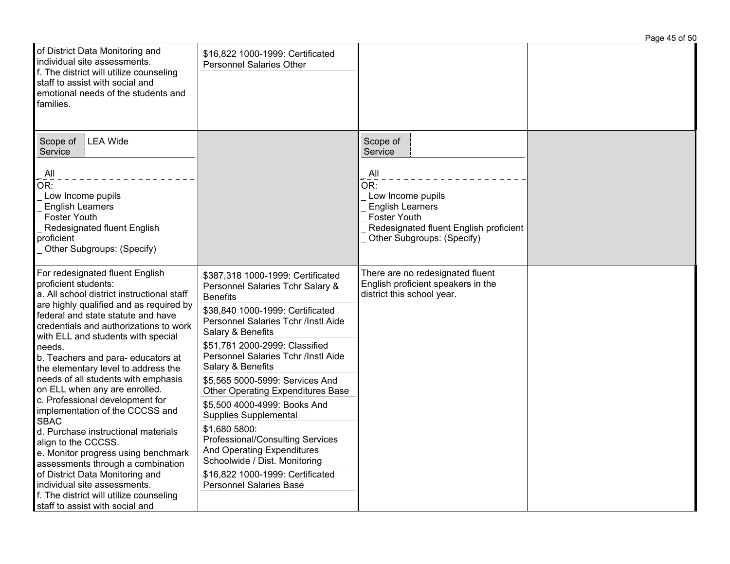|                                                                                                                                                                                                                                                                                                                                                                                                                                                                                                                                                                                                                                                                                                                                                                                                                      |                                                                                                                                                                                                                                                                                                                                                                                                                                                                                                                                                                                                                                 |                                                                                                                                                                                                                | Page 45 of 50 |
|----------------------------------------------------------------------------------------------------------------------------------------------------------------------------------------------------------------------------------------------------------------------------------------------------------------------------------------------------------------------------------------------------------------------------------------------------------------------------------------------------------------------------------------------------------------------------------------------------------------------------------------------------------------------------------------------------------------------------------------------------------------------------------------------------------------------|---------------------------------------------------------------------------------------------------------------------------------------------------------------------------------------------------------------------------------------------------------------------------------------------------------------------------------------------------------------------------------------------------------------------------------------------------------------------------------------------------------------------------------------------------------------------------------------------------------------------------------|----------------------------------------------------------------------------------------------------------------------------------------------------------------------------------------------------------------|---------------|
| of District Data Monitoring and<br>individual site assessments.<br>f. The district will utilize counseling<br>staff to assist with social and<br>emotional needs of the students and<br>families.                                                                                                                                                                                                                                                                                                                                                                                                                                                                                                                                                                                                                    | \$16,822 1000-1999: Certificated<br><b>Personnel Salaries Other</b>                                                                                                                                                                                                                                                                                                                                                                                                                                                                                                                                                             |                                                                                                                                                                                                                |               |
| LEA Wide<br>Scope of<br>Service<br>All<br>OR:<br>Low Income pupils<br><b>English Learners</b><br><b>Foster Youth</b><br>Redesignated fluent English<br>proficient<br>Other Subgroups: (Specify)                                                                                                                                                                                                                                                                                                                                                                                                                                                                                                                                                                                                                      |                                                                                                                                                                                                                                                                                                                                                                                                                                                                                                                                                                                                                                 | Scope of<br>Service<br>$\overline{A}$ ll<br>$\overline{\mathsf{OR}}$ :<br>Low Income pupils<br><b>English Learners</b><br>Foster Youth<br>Redesignated fluent English proficient<br>Other Subgroups: (Specify) |               |
| For redesignated fluent English<br>proficient students:<br>a. All school district instructional staff<br>are highly qualified and as required by<br>federal and state statute and have<br>credentials and authorizations to work<br>with ELL and students with special<br>needs.<br>b. Teachers and para-educators at<br>the elementary level to address the<br>needs of all students with emphasis<br>on ELL when any are enrolled.<br>c. Professional development for<br>implementation of the CCCSS and<br><b>SBAC</b><br>d. Purchase instructional materials<br>align to the CCCSS.<br>e. Monitor progress using benchmark<br>assessments through a combination<br>of District Data Monitoring and<br>individual site assessments.<br>f. The district will utilize counseling<br>staff to assist with social and | \$387,318 1000-1999: Certificated<br>Personnel Salaries Tchr Salary &<br><b>Benefits</b><br>\$38,840 1000-1999: Certificated<br>Personnel Salaries Tchr /Instl Aide<br>Salary & Benefits<br>\$51,781 2000-2999: Classified<br>Personnel Salaries Tchr /Instl Aide<br>Salary & Benefits<br>\$5,565 5000-5999: Services And<br><b>Other Operating Expenditures Base</b><br>\$5,500 4000-4999: Books And<br><b>Supplies Supplemental</b><br>\$1,680 5800:<br>Professional/Consulting Services<br>And Operating Expenditures<br>Schoolwide / Dist. Monitoring<br>\$16,822 1000-1999: Certificated<br><b>Personnel Salaries Base</b> | There are no redesignated fluent<br>English proficient speakers in the<br>district this school year.                                                                                                           |               |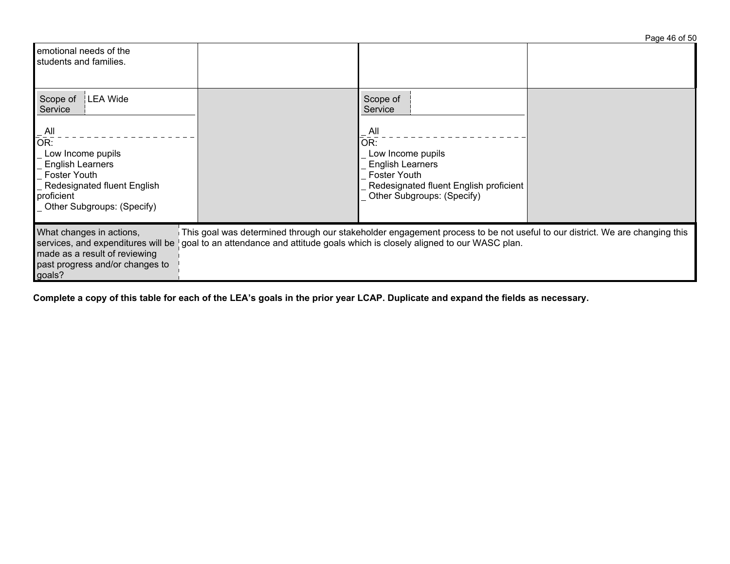|                                                                                                                                                                                                                                          | Page 46 of 50                                                                                                                                                                                                     |
|------------------------------------------------------------------------------------------------------------------------------------------------------------------------------------------------------------------------------------------|-------------------------------------------------------------------------------------------------------------------------------------------------------------------------------------------------------------------|
| emotional needs of the<br>students and families.                                                                                                                                                                                         |                                                                                                                                                                                                                   |
| Scope of<br>LEA Wide<br>Service<br>$\overline{A}$ ll<br>$\overline{\overline{\text{OR}}}$ :<br>Low Income pupils<br><b>English Learners</b><br>Foster Youth<br>Redesignated fluent English<br>proficient<br>_ Other Subgroups: (Specify) | Scope of<br>Service<br>$\overline{\mathsf{All}}$<br>OR:<br>Low Income pupils<br><b>English Learners</b><br>Foster Youth<br>Redesignated fluent English proficient<br>Other Subgroups: (Specify)                   |
| What changes in actions,<br>services, and expenditures will be<br>made as a result of reviewing<br>past progress and/or changes to<br>goals?                                                                                             | This goal was determined through our stakeholder engagement process to be not useful to our district. We are changing this<br>goal to an attendance and attitude goals which is closely aligned to our WASC plan. |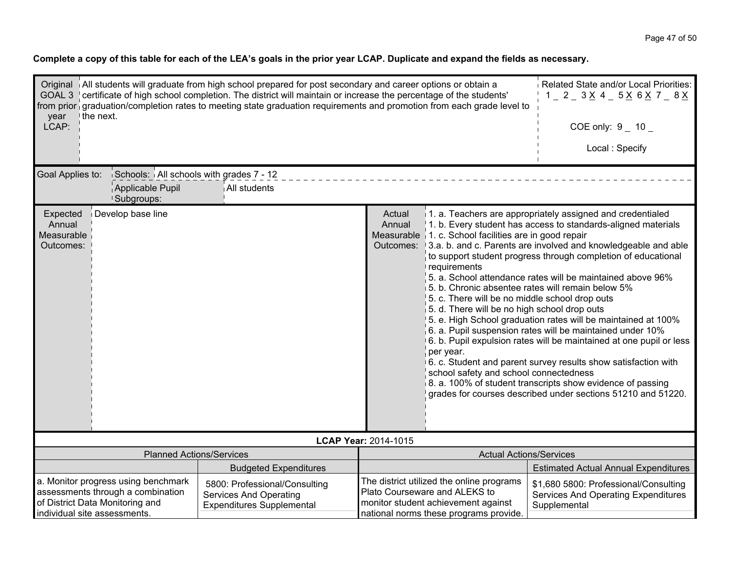| Original All students will graduate from high school prepared for post secondary and career options or obtain a<br>GOAL 3   certificate of high school completion. The district will maintain or increase the percentage of the students'<br>from prior graduation/completion rates to meeting state graduation requirements and promotion from each grade level to<br>the next.<br>year | Related State and/or Local Priorities:<br>$1 - 2 - 3 \times 4 - 5 \times 6 \times 7 - 8 \times$    |                                                                                                                                                                                                                                                             |                                                                                                                                                                                                                     |                                                                                                                                                                                                                                                                                                                                                                                                                                                                                                                                                                                                                                                                                                                                                                                                     |  |
|------------------------------------------------------------------------------------------------------------------------------------------------------------------------------------------------------------------------------------------------------------------------------------------------------------------------------------------------------------------------------------------|----------------------------------------------------------------------------------------------------|-------------------------------------------------------------------------------------------------------------------------------------------------------------------------------------------------------------------------------------------------------------|---------------------------------------------------------------------------------------------------------------------------------------------------------------------------------------------------------------------|-----------------------------------------------------------------------------------------------------------------------------------------------------------------------------------------------------------------------------------------------------------------------------------------------------------------------------------------------------------------------------------------------------------------------------------------------------------------------------------------------------------------------------------------------------------------------------------------------------------------------------------------------------------------------------------------------------------------------------------------------------------------------------------------------------|--|
| LCAP:                                                                                                                                                                                                                                                                                                                                                                                    |                                                                                                    |                                                                                                                                                                                                                                                             | COE only: $9 - 10$                                                                                                                                                                                                  |                                                                                                                                                                                                                                                                                                                                                                                                                                                                                                                                                                                                                                                                                                                                                                                                     |  |
|                                                                                                                                                                                                                                                                                                                                                                                          |                                                                                                    |                                                                                                                                                                                                                                                             |                                                                                                                                                                                                                     | Local: Specify                                                                                                                                                                                                                                                                                                                                                                                                                                                                                                                                                                                                                                                                                                                                                                                      |  |
| Goal Applies to:<br>Schools: All schools with grades 7 - 12<br>Applicable Pupil<br>All students<br><sup>1</sup> Subgroups:                                                                                                                                                                                                                                                               |                                                                                                    |                                                                                                                                                                                                                                                             |                                                                                                                                                                                                                     |                                                                                                                                                                                                                                                                                                                                                                                                                                                                                                                                                                                                                                                                                                                                                                                                     |  |
| Develop base line<br>Expected<br>Annual<br>Measurable<br>Outcomes:                                                                                                                                                                                                                                                                                                                       |                                                                                                    | Actual<br>Annual<br>Measurable                                                                                                                                                                                                                              | 1. c. School facilities are in good repair<br>requirements<br>5. c. There will be no middle school drop outs<br>5. d. There will be no high school drop outs<br>per year.<br>school safety and school connectedness | 1. a. Teachers are appropriately assigned and credentialed<br>1. b. Every student has access to standards-aligned materials<br>Outcomes: 13.a. b. and c. Parents are involved and knowledgeable and able<br>to support student progress through completion of educational<br>5. a. School attendance rates will be maintained above 96%<br>5. b. Chronic absentee rates will remain below 5%<br>5. e. High School graduation rates will be maintained at 100%<br>$6.$ a. Pupil suspension rates will be maintained under 10%<br>6. b. Pupil expulsion rates will be maintained at one pupil or less<br>6. c. Student and parent survey results show satisfaction with<br>8. a. 100% of student transcripts show evidence of passing<br>grades for courses described under sections 51210 and 51220. |  |
| LCAP Year: 2014-1015<br><b>Planned Actions/Services</b><br><b>Actual Actions/Services</b>                                                                                                                                                                                                                                                                                                |                                                                                                    |                                                                                                                                                                                                                                                             |                                                                                                                                                                                                                     |                                                                                                                                                                                                                                                                                                                                                                                                                                                                                                                                                                                                                                                                                                                                                                                                     |  |
|                                                                                                                                                                                                                                                                                                                                                                                          | <b>Budgeted Expenditures</b>                                                                       |                                                                                                                                                                                                                                                             |                                                                                                                                                                                                                     | <b>Estimated Actual Annual Expenditures</b>                                                                                                                                                                                                                                                                                                                                                                                                                                                                                                                                                                                                                                                                                                                                                         |  |
| a. Monitor progress using benchmark<br>assessments through a combination<br>of District Data Monitoring and<br>individual site assessments.                                                                                                                                                                                                                                              | 5800: Professional/Consulting<br><b>Services And Operating</b><br><b>Expenditures Supplemental</b> | The district utilized the online programs<br>\$1,680 5800: Professional/Consulting<br>Plato Courseware and ALEKS to<br>Services And Operating Expenditures<br>monitor student achievement against<br>Supplemental<br>national norms these programs provide. |                                                                                                                                                                                                                     |                                                                                                                                                                                                                                                                                                                                                                                                                                                                                                                                                                                                                                                                                                                                                                                                     |  |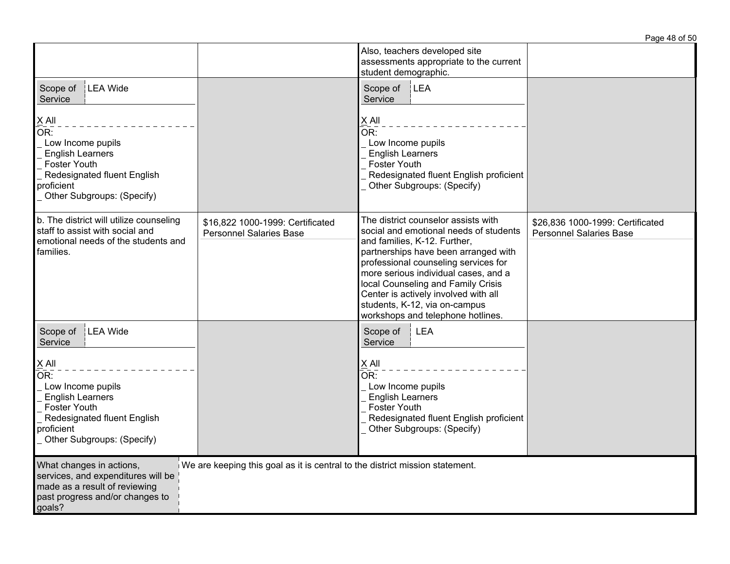|                                                                                                                                                                       |                                                                              |                                                                                                                                                                                                                                                                                                                                                                                           | Page 48 of 50                                                      |
|-----------------------------------------------------------------------------------------------------------------------------------------------------------------------|------------------------------------------------------------------------------|-------------------------------------------------------------------------------------------------------------------------------------------------------------------------------------------------------------------------------------------------------------------------------------------------------------------------------------------------------------------------------------------|--------------------------------------------------------------------|
|                                                                                                                                                                       |                                                                              | Also, teachers developed site<br>assessments appropriate to the current<br>student demographic.                                                                                                                                                                                                                                                                                           |                                                                    |
| LEA Wide<br>Scope of<br>Service                                                                                                                                       |                                                                              | Scope of   LEA<br>Service                                                                                                                                                                                                                                                                                                                                                                 |                                                                    |
| $\times$ All<br>OR:<br>Low Income pupils<br><b>English Learners</b><br><b>Foster Youth</b><br>Redesignated fluent English<br>proficient<br>Other Subgroups: (Specify) |                                                                              | $\underline{X}$ All<br>$\overline{\overline{\text{OR}}}$ :<br>Low Income pupils<br><b>English Learners</b><br><b>Foster Youth</b><br>Redesignated fluent English proficient<br>Other Subgroups: (Specify)                                                                                                                                                                                 |                                                                    |
| b. The district will utilize counseling<br>staff to assist with social and<br>emotional needs of the students and<br>families.                                        | \$16,822 1000-1999: Certificated<br><b>Personnel Salaries Base</b>           | The district counselor assists with<br>social and emotional needs of students<br>and families, K-12. Further,<br>partnerships have been arranged with<br>professional counseling services for<br>more serious individual cases, and a<br>local Counseling and Family Crisis<br>Center is actively involved with all<br>students, K-12, via on-campus<br>workshops and telephone hotlines. | \$26,836 1000-1999: Certificated<br><b>Personnel Salaries Base</b> |
| LEA Wide<br>Scope of<br>Service                                                                                                                                       |                                                                              | <b>LEA</b><br>Scope of<br>Service                                                                                                                                                                                                                                                                                                                                                         |                                                                    |
| $X$ All<br>OR:<br>Low Income pupils<br><b>English Learners</b><br><b>Foster Youth</b><br>Redesignated fluent English<br>proficient<br>Other Subgroups: (Specify)      |                                                                              | $\underline{X}$ All<br>OR:<br>Low Income pupils<br><b>English Learners</b><br><b>Foster Youth</b><br>Redesignated fluent English proficient<br>Other Subgroups: (Specify)                                                                                                                                                                                                                 |                                                                    |
| What changes in actions,<br>services, and expenditures will be<br>made as a result of reviewing<br>past progress and/or changes to<br>goals?                          | We are keeping this goal as it is central to the district mission statement. |                                                                                                                                                                                                                                                                                                                                                                                           |                                                                    |